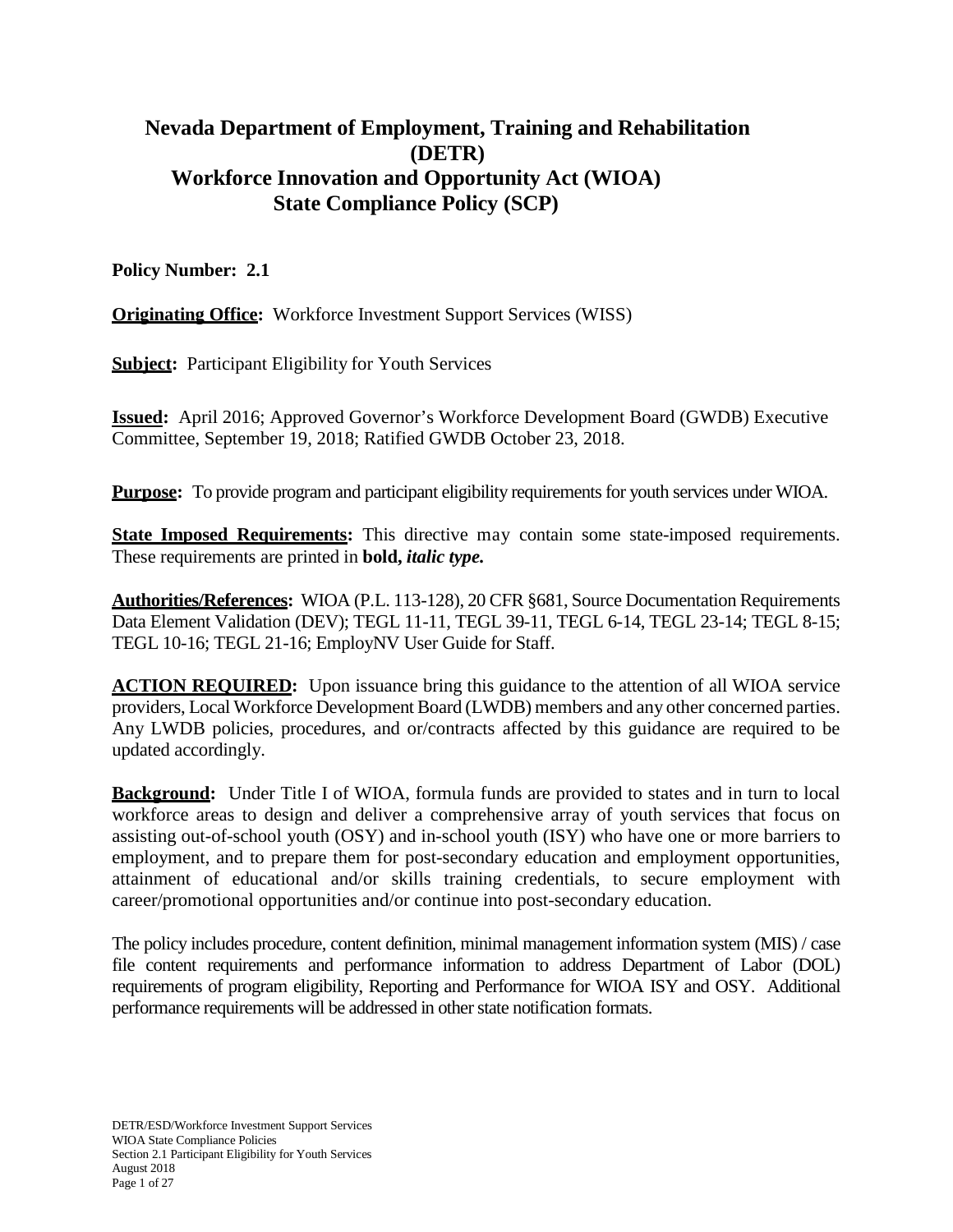# **Nevada Department of Employment, Training and Rehabilitation (DETR) Workforce Innovation and Opportunity Act (WIOA) State Compliance Policy (SCP)**

## **Policy Number: 2.1**

**<u>Originating Office</u>:** Workforce Investment Support Services (WISS)

**Subject:** Participant Eligibility for Youth Services

**Issued:** April 2016; Approved Governor's Workforce Development Board (GWDB) Executive Committee, September 19, 2018; Ratified GWDB October 23, 2018.

**Purpose:** To provide program and participant eligibility requirements for youth services under WIOA.

**State Imposed Requirements:** This directive may contain some state-imposed requirements. These requirements are printed in **bold,** *italic type.*

**Authorities/References:** WIOA (P.L. 113-128), 20 CFR §681, Source Documentation Requirements Data Element Validation (DEV); TEGL 11-11, TEGL 39-11, TEGL 6-14, TEGL 23-14; TEGL 8-15; TEGL 10-16; TEGL 21-16; EmployNV User Guide for Staff.

**ACTION REQUIRED:** Upon issuance bring this guidance to the attention of all WIOA service providers, Local Workforce Development Board (LWDB) members and any other concerned parties. Any LWDB policies, procedures, and or/contracts affected by this guidance are required to be updated accordingly.

**Background:** Under Title I of WIOA, formula funds are provided to states and in turn to local workforce areas to design and deliver a comprehensive array of youth services that focus on assisting out-of-school youth (OSY) and in-school youth (ISY) who have one or more barriers to employment, and to prepare them for post-secondary education and employment opportunities, attainment of educational and/or skills training credentials, to secure employment with career/promotional opportunities and/or continue into post-secondary education.

The policy includes procedure, content definition, minimal management information system (MIS) / case file content requirements and performance information to address Department of Labor (DOL) requirements of program eligibility, Reporting and Performance for WIOA ISY and OSY. Additional performance requirements will be addressed in other state notification formats.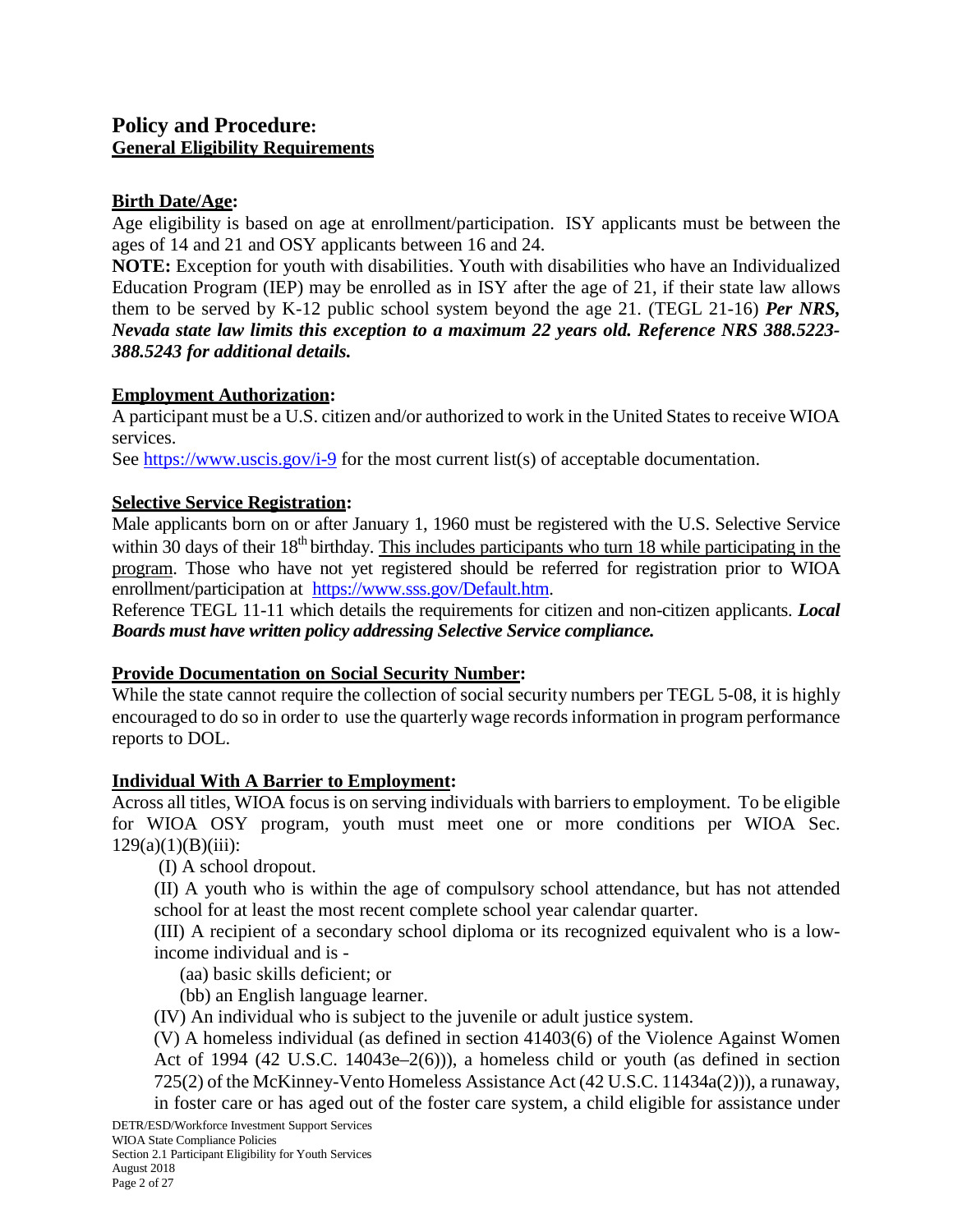# **Policy and Procedure: General Eligibility Requirements**

## **Birth Date/Age:**

Age eligibility is based on age at enrollment/participation. ISY applicants must be between the ages of 14 and 21 and OSY applicants between 16 and 24.

**NOTE:** Exception for youth with disabilities. Youth with disabilities who have an Individualized Education Program (IEP) may be enrolled as in ISY after the age of 21, if their state law allows them to be served by K-12 public school system beyond the age 21. (TEGL 21-16) *Per NRS, Nevada state law limits this exception to a maximum 22 years old. Reference NRS 388.5223- 388.5243 for additional details.*

## **Employment Authorization:**

A participant must be a U.S. citizen and/or authorized to work in the United States to receive WIOA services.

See<https://www.uscis.gov/i-9> for the most current list(s) of acceptable documentation.

## **Selective Service Registration:**

Male applicants born on or after January 1, 1960 must be registered with the U.S. Selective Service within 30 days of their  $18<sup>th</sup>$  birthday. This includes participants who turn 18 while participating in the program. Those who have not yet registered should be referred for registration prior to WIOA enrollment/participation at [https://www.sss.gov/Default.htm.](https://www.sss.gov/Default.htm)

Reference TEGL 11-11 which details the requirements for citizen and non-citizen applicants. *Local Boards must have written policy addressing Selective Service compliance.*

## **Provide Documentation on Social Security Number:**

While the state cannot require the collection of social security numbers per TEGL 5-08, it is highly encouraged to do so in order to use the quarterly wage recordsinformation in program performance reports to DOL.

#### **Individual With A Barrier to Employment:**

Across all titles, WIOA focus is on serving individuals with barriers to employment. To be eligible for WIOA OSY program, youth must meet one or more conditions per WIOA Sec.  $129(a)(1)(B)(iii):$ 

(I) A school dropout.

(II) A youth who is within the age of compulsory school attendance, but has not attended school for at least the most recent complete school year calendar quarter.

(III) A recipient of a secondary school diploma or its recognized equivalent who is a lowincome individual and is -

(aa) basic skills deficient; or

(bb) an English language learner.

(IV) An individual who is subject to the juvenile or adult justice system.

(V) A homeless individual (as defined in section 41403(6) of the Violence Against Women Act of 1994 (42 U.S.C. 14043e–2(6))), a homeless child or youth (as defined in section 725(2) of the McKinney-Vento Homeless Assistance Act (42 U.S.C. 11434a(2))), a runaway,

DETR/ESD/Workforce Investment Support Services in foster care or has aged out of the foster care system, a child eligible for assistance under

WIOA State Compliance Policies Section 2.1 Participant Eligibility for Youth Services August 2018 Page 2 of 27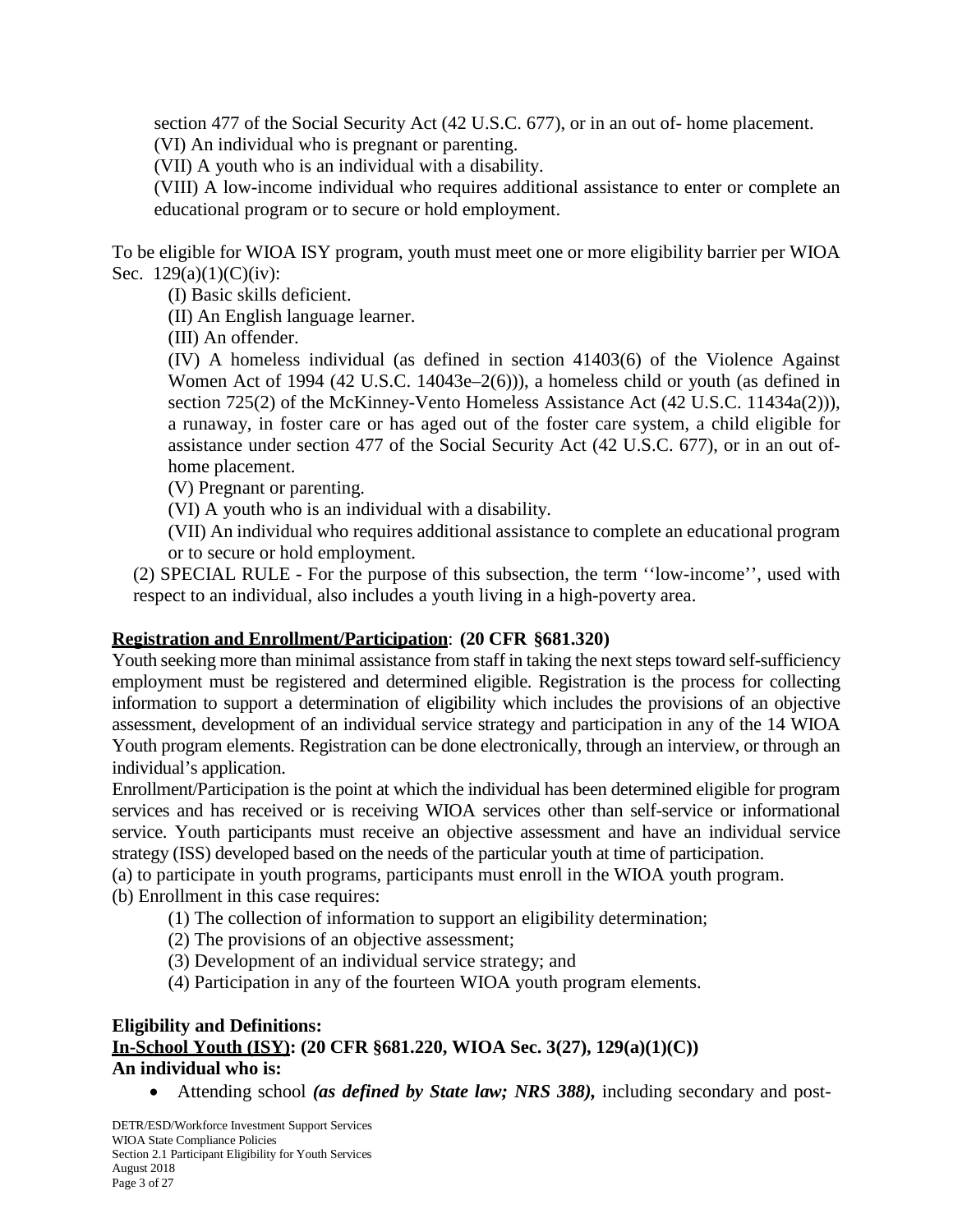section 477 of the Social Security Act (42 U.S.C. 677), or in an out of- home placement. (VI) An individual who is pregnant or parenting.

(VII) A youth who is an individual with a disability.

(VIII) A low-income individual who requires additional assistance to enter or complete an educational program or to secure or hold employment.

To be eligible for WIOA ISY program, youth must meet one or more eligibility barrier per WIOA Sec. 129(a)(1)(C)(iv):

(I) Basic skills deficient.

(II) An English language learner.

(III) An offender.

(IV) A homeless individual (as defined in section 41403(6) of the Violence Against Women Act of 1994 (42 U.S.C. 14043e–2(6))), a homeless child or youth (as defined in section 725(2) of the McKinney-Vento Homeless Assistance Act (42 U.S.C. 11434a(2))), a runaway, in foster care or has aged out of the foster care system, a child eligible for assistance under section 477 of the Social Security Act (42 U.S.C. 677), or in an out ofhome placement.

(V) Pregnant or parenting.

(VI) A youth who is an individual with a disability.

(VII) An individual who requires additional assistance to complete an educational program or to secure or hold employment.

(2) SPECIAL RULE - For the purpose of this subsection, the term ''low-income'', used with respect to an individual, also includes a youth living in a high-poverty area.

## **Registration and Enrollment/Participation**: **(20 CFR §681.320)**

Youth seeking more than minimal assistance from staff in taking the next steps toward self-sufficiency employment must be registered and determined eligible. Registration is the process for collecting information to support a determination of eligibility which includes the provisions of an objective assessment, development of an individual service strategy and participation in any of the 14 WIOA Youth program elements. Registration can be done electronically, through an interview, or through an individual's application.

Enrollment/Participation is the point at which the individual has been determined eligible for program services and has received or is receiving WIOA services other than self-service or informational service. Youth participants must receive an objective assessment and have an individual service strategy (ISS) developed based on the needs of the particular youth at time of participation.

(a) to participate in youth programs, participants must enroll in the WIOA youth program.

(b) Enrollment in this case requires:

(1) The collection of information to support an eligibility determination;

- (2) The provisions of an objective assessment;
- (3) Development of an individual service strategy; and
- (4) Participation in any of the fourteen WIOA youth program elements.

## **Eligibility and Definitions: In-School Youth (ISY): (20 CFR §681.220, WIOA Sec. 3(27), 129(a)(1)(C)) An individual who is:**

• Attending school *(as defined by State law; NRS 388),* including secondary and post-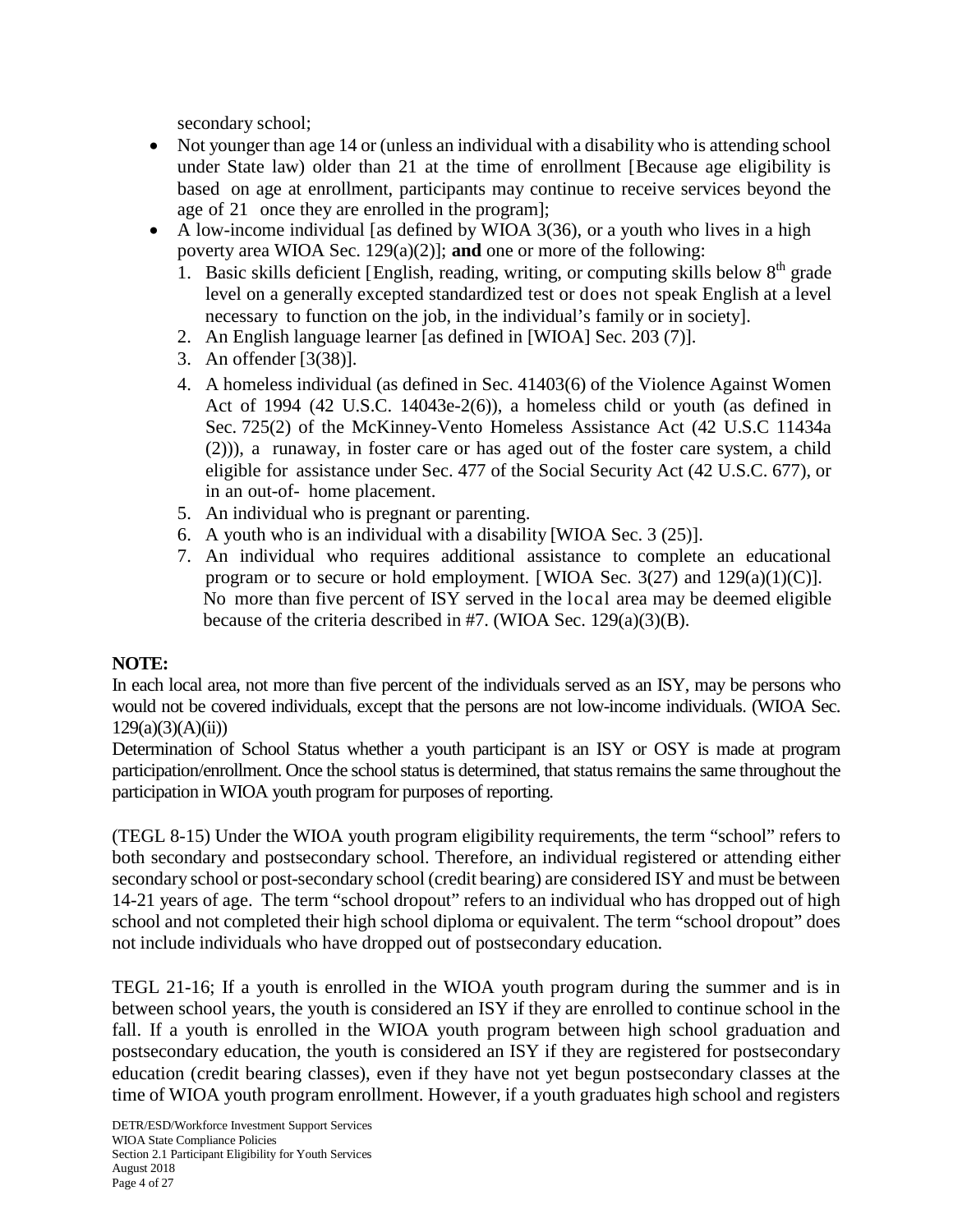secondary school;

- Not younger than age 14 or (unless an individual with a disability who is attending school under State law) older than 21 at the time of enrollment [Because age eligibility is based on age at enrollment, participants may continue to receive services beyond the age of 21 once they are enrolled in the program];
- A low-income individual [as defined by WIOA 3(36), or a youth who lives in a high poverty area WIOA Sec. 129(a)(2)]; **and** one or more of the following:
	- 1. Basic skills deficient [English, reading, writing, or computing skills below  $8<sup>th</sup>$  grade level on a generally excepted standardized test or does not speak English at a level necessary to function on the job, in the individual's family or in society].
	- 2. An English language learner [as defined in [WIOA] Sec. 203 (7)].
	- 3. An offender [3(38)].
	- 4. A homeless individual (as defined in Sec. 41403(6) of the Violence Against Women Act of 1994 (42 U.S.C. 14043e-2(6)), a homeless child or youth (as defined in Sec. 725(2) of the McKinney-Vento Homeless Assistance Act (42 U.S.C 11434a (2))), a runaway, in foster care or has aged out of the foster care system, a child eligible for assistance under Sec. 477 of the Social Security Act (42 U.S.C. 677), or in an out-of- home placement.
	- 5. An individual who is pregnant or parenting.
	- 6. A youth who is an individual with a disability [WIOA Sec. 3 (25)].
	- 7. An individual who requires additional assistance to complete an educational program or to secure or hold employment. [WIOA Sec.  $3(27)$  and  $129(a)(1)(C)$ ]. No more than five percent of ISY served in the local area may be deemed eligible because of the criteria described in #7. (WIOA Sec. 129(a)(3)(B).

## **NOTE:**

In each local area, not more than five percent of the individuals served as an ISY, may be persons who would not be covered individuals, except that the persons are not low-income individuals. (WIOA Sec.  $129(a)(3)(A)(ii)$ 

Determination of School Status whether a youth participant is an ISY or OSY is made at program participation/enrollment. Once the school status is determined, that status remains the same throughout the participation in WIOA youth program for purposes of reporting.

(TEGL 8-15) Under the WIOA youth program eligibility requirements, the term "school" refers to both secondary and postsecondary school. Therefore, an individual registered or attending either secondary school or post-secondary school (credit bearing) are considered ISY and must be between 14-21 years of age. The term "school dropout" refers to an individual who has dropped out of high school and not completed their high school diploma or equivalent. The term "school dropout" does not include individuals who have dropped out of postsecondary education.

TEGL 21-16; If a youth is enrolled in the WIOA youth program during the summer and is in between school years, the youth is considered an ISY if they are enrolled to continue school in the fall. If a youth is enrolled in the WIOA youth program between high school graduation and postsecondary education, the youth is considered an ISY if they are registered for postsecondary education (credit bearing classes), even if they have not yet begun postsecondary classes at the time of WIOA youth program enrollment. However, if a youth graduates high school and registers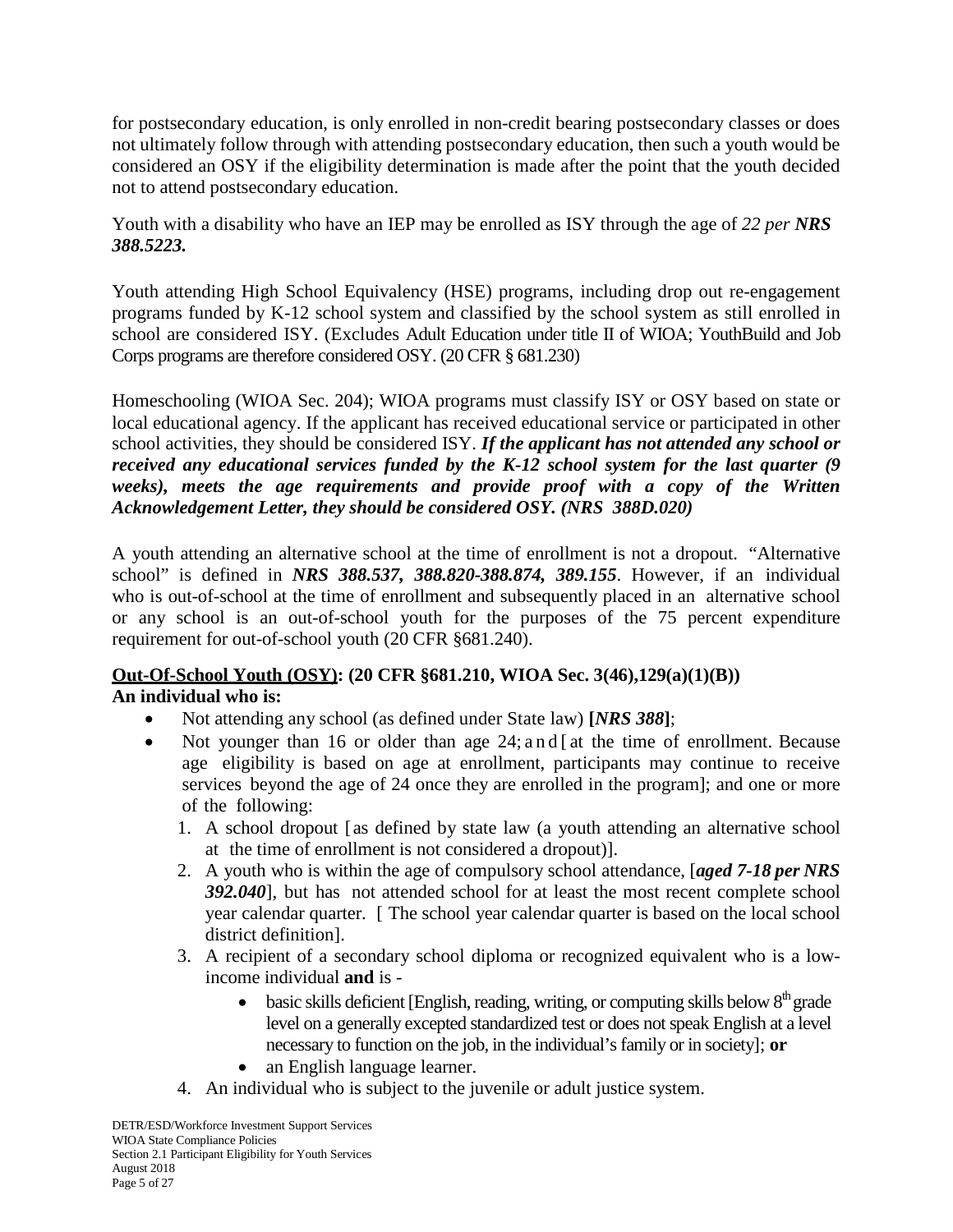for postsecondary education, is only enrolled in non-credit bearing postsecondary classes or does not ultimately follow through with attending postsecondary education, then such a youth would be considered an OSY if the eligibility determination is made after the point that the youth decided not to attend postsecondary education.

Youth with a disability who have an IEP may be enrolled as ISY through the age of *22 per NRS 388.5223.*

Youth attending High School Equivalency (HSE) programs, including drop out re-engagement programs funded by K-12 school system and classified by the school system as still enrolled in school are considered ISY. (Excludes Adult Education under title II of WIOA; YouthBuild and Job Corps programs are therefore considered OSY. (20 CFR § 681.230)

Homeschooling (WIOA Sec. 204); WIOA programs must classify ISY or OSY based on state or local educational agency. If the applicant has received educational service or participated in other school activities, they should be considered ISY. *If the applicant has not attended any school or received any educational services funded by the K-12 school system for the last quarter (9 weeks), meets the age requirements and provide proof with a copy of the Written Acknowledgement Letter, they should be considered OSY. (NRS 388D.020)*

A youth attending an alternative school at the time of enrollment is not a dropout. "Alternative school" is defined in *NRS 388.537, 388.820-388.874, 389.155*. However, if an individual who is out-of-school at the time of enrollment and subsequently placed in an alternative school or any school is an out-of-school youth for the purposes of the 75 percent expenditure requirement for out-of-school youth (20 CFR §681.240).

## **Out-Of-School Youth (OSY): (20 CFR §681.210, WIOA Sec. 3(46),129(a)(1)(B)) An individual who is:**

- Not attending any school (as defined under State law) **[***NRS 388***]**;
- Not younger than 16 or older than age 24; and [at the time of enrollment. Because age eligibility is based on age at enrollment, participants may continue to receive services beyond the age of 24 once they are enrolled in the program]; and one or more of the following:
	- 1. A school dropout [as defined by state law (a youth attending an alternative school at the time of enrollment is not considered a dropout)].
	- 2. A youth who is within the age of compulsory school attendance, [*aged 7-18 per NRS 392.040*], but has not attended school for at least the most recent complete school year calendar quarter. [ The school year calendar quarter is based on the local school district definition].
	- 3. A recipient of a secondary school diploma or recognized equivalent who is a lowincome individual **and** is
		- basic skills deficient [English, reading, writing, or computing skills below  $8<sup>th</sup>$  grade level on a generally excepted standardized test or does not speak English at a level necessary to function on the job, in the individual's family or in society]; **or**
		- an English language learner.
	- 4. An individual who is subject to the juvenile or adult justice system.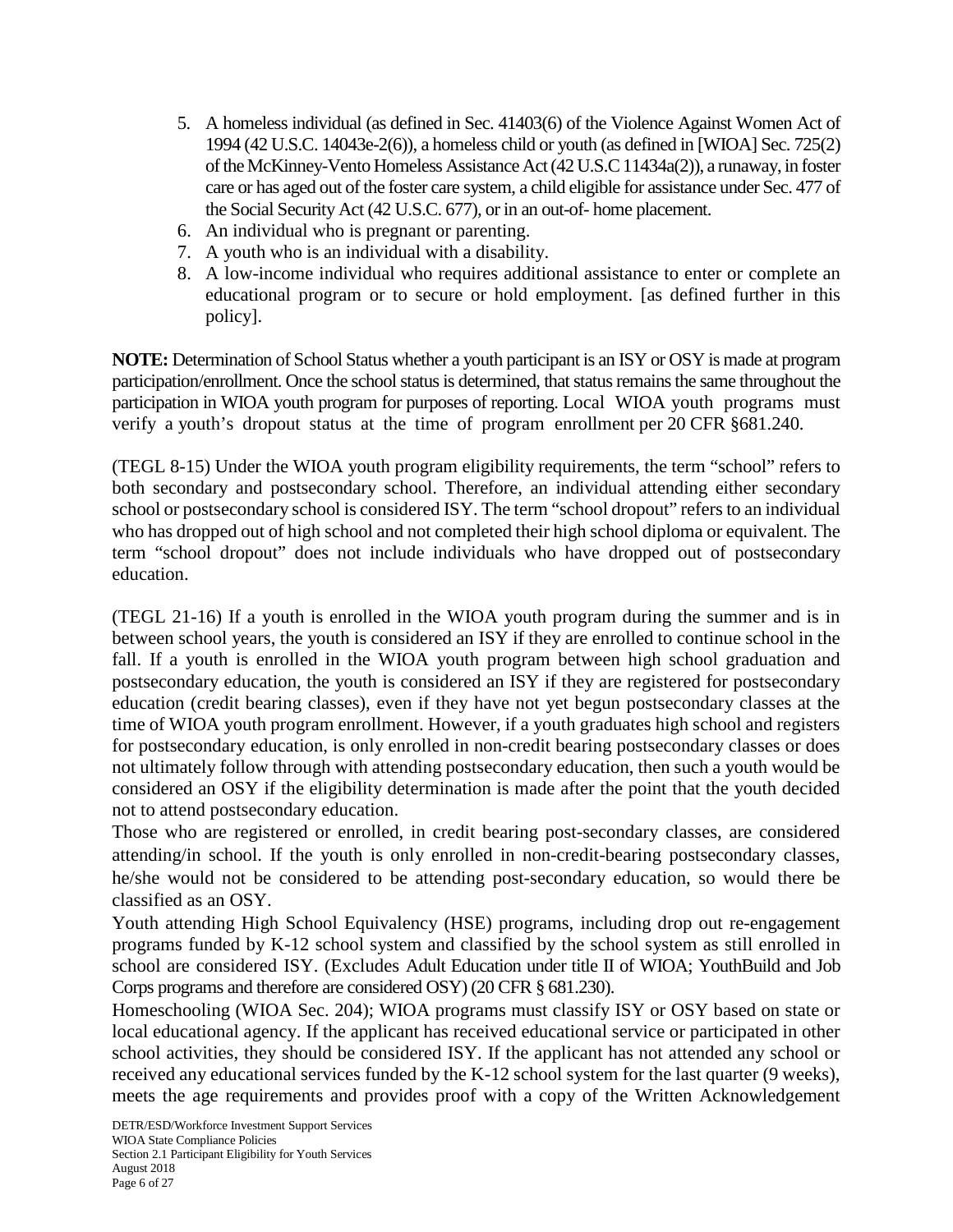- 5. A homeless individual (as defined in Sec. 41403(6) of the Violence Against Women Act of 1994 (42 U.S.C. 14043e-2(6)), a homeless child or youth (as defined in [WIOA] Sec. 725(2) of the McKinney-Vento Homeless Assistance Act (42 U.S.C 11434a(2)), a runaway, in foster care or has aged out of the foster care system, a child eligible for assistance under Sec. 477 of the Social Security Act (42 U.S.C. 677), or in an out-of- home placement.
- 6. An individual who is pregnant or parenting.
- 7. A youth who is an individual with a disability.
- 8. A low-income individual who requires additional assistance to enter or complete an educational program or to secure or hold employment. [as defined further in this policy].

**NOTE:** Determination of School Status whether a youth participant is an ISY or OSY is made at program participation/enrollment. Once the school status is determined, that status remains the same throughout the participation in WIOA youth program for purposes of reporting. Local WIOA youth programs must verify a youth's dropout status at the time of program enrollment per 20 CFR §681.240.

(TEGL 8-15) Under the WIOA youth program eligibility requirements, the term "school" refers to both secondary and postsecondary school. Therefore, an individual attending either secondary school or postsecondary school is considered ISY. The term "school dropout" refers to an individual who has dropped out of high school and not completed their high school diploma or equivalent. The term "school dropout" does not include individuals who have dropped out of postsecondary education.

(TEGL 21-16) If a youth is enrolled in the WIOA youth program during the summer and is in between school years, the youth is considered an ISY if they are enrolled to continue school in the fall. If a youth is enrolled in the WIOA youth program between high school graduation and postsecondary education, the youth is considered an ISY if they are registered for postsecondary education (credit bearing classes), even if they have not yet begun postsecondary classes at the time of WIOA youth program enrollment. However, if a youth graduates high school and registers for postsecondary education, is only enrolled in non-credit bearing postsecondary classes or does not ultimately follow through with attending postsecondary education, then such a youth would be considered an OSY if the eligibility determination is made after the point that the youth decided not to attend postsecondary education.

Those who are registered or enrolled, in credit bearing post-secondary classes, are considered attending/in school. If the youth is only enrolled in non-credit-bearing postsecondary classes, he/she would not be considered to be attending post-secondary education, so would there be classified as an OSY.

Youth attending High School Equivalency (HSE) programs, including drop out re-engagement programs funded by K-12 school system and classified by the school system as still enrolled in school are considered ISY. (Excludes Adult Education under title II of WIOA; YouthBuild and Job Corps programs and therefore are considered OSY) (20 CFR § 681.230).

Homeschooling (WIOA Sec. 204); WIOA programs must classify ISY or OSY based on state or local educational agency. If the applicant has received educational service or participated in other school activities, they should be considered ISY. If the applicant has not attended any school or received any educational services funded by the K-12 school system for the last quarter (9 weeks), meets the age requirements and provides proof with a copy of the Written Acknowledgement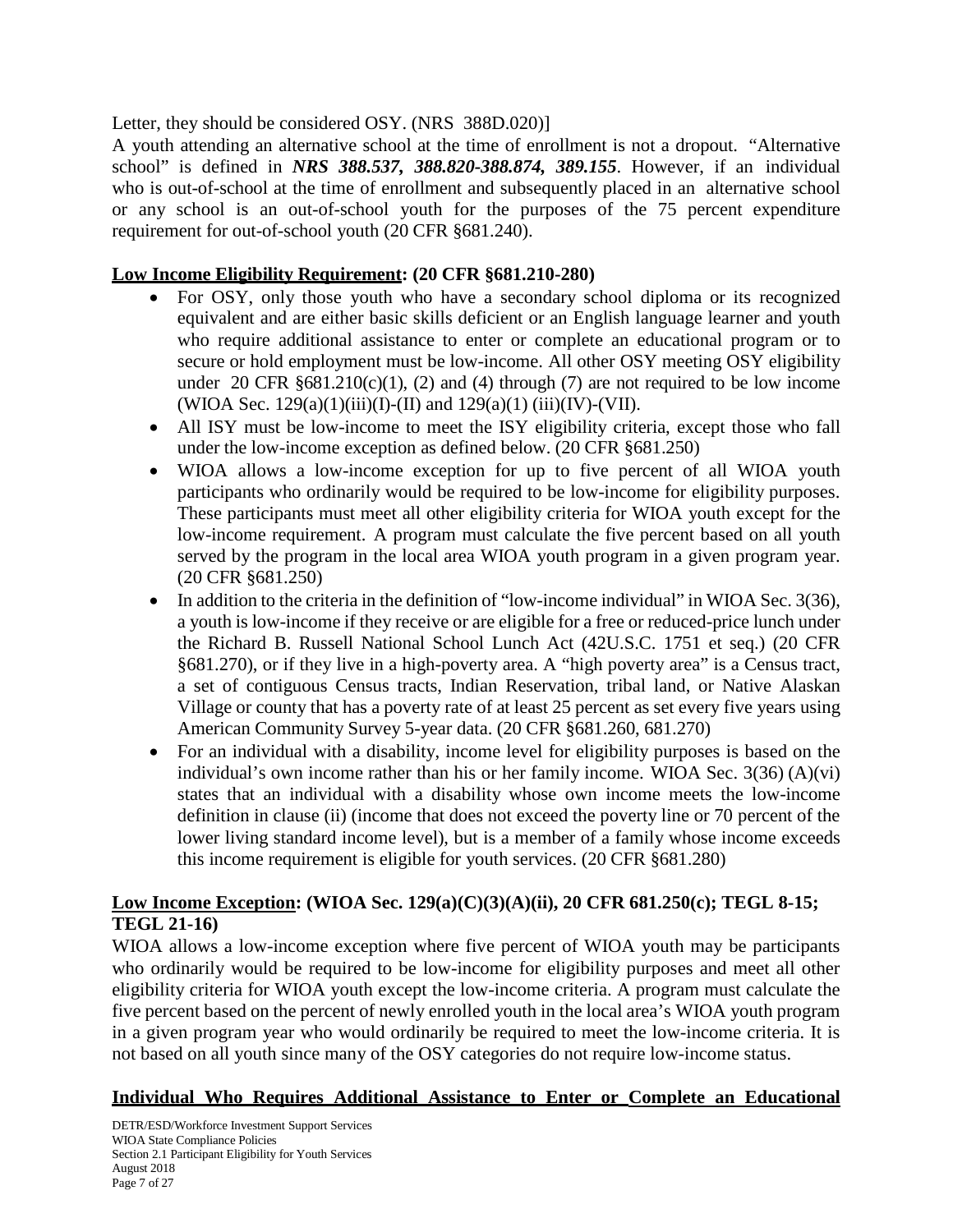## Letter, they should be considered OSY. (NRS 388D.020)]

A youth attending an alternative school at the time of enrollment is not a dropout. "Alternative school" is defined in *NRS 388.537, 388.820-388.874, 389.155*. However, if an individual who is out-of-school at the time of enrollment and subsequently placed in an alternative school or any school is an out-of-school youth for the purposes of the 75 percent expenditure requirement for out-of-school youth (20 CFR §681.240).

## **Low Income Eligibility Requirement: (20 CFR §681.210-280)**

- For OSY, only those youth who have a secondary school diploma or its recognized equivalent and are either basic skills deficient or an English language learner and youth who require additional assistance to enter or complete an educational program or to secure or hold employment must be low-income. All other OSY meeting OSY eligibility under 20 CFR  $\S 681.210(c)(1)$ , (2) and (4) through (7) are not required to be low income (WIOA Sec.  $129(a)(1)(iii)(I)-(II)$  and  $129(a)(1)(iii)(IV)-(VII)$ .
- All ISY must be low-income to meet the ISY eligibility criteria, except those who fall under the low-income exception as defined below. (20 CFR §681.250)
- WIOA allows a low-income exception for up to five percent of all WIOA youth participants who ordinarily would be required to be low-income for eligibility purposes. These participants must meet all other eligibility criteria for WIOA youth except for the low-income requirement. A program must calculate the five percent based on all youth served by the program in the local area WIOA youth program in a given program year. (20 CFR §681.250)
- In addition to the criteria in the definition of "low-income individual" in WIOA Sec. 3(36), a youth is low-income if they receive or are eligible for a free or reduced-price lunch under the Richard B. Russell National School Lunch Act (42U.S.C. 1751 et seq.) (20 CFR §681.270), or if they live in a high-poverty area. A "high poverty area" is a Census tract, a set of contiguous Census tracts, Indian Reservation, tribal land, or Native Alaskan Village or county that has a poverty rate of at least 25 percent as set every five years using American Community Survey 5-year data. (20 CFR §681.260, 681.270)
- For an individual with a disability, income level for eligibility purposes is based on the individual's own income rather than his or her family income. WIOA Sec. 3(36) (A)(vi) states that an individual with a disability whose own income meets the low-income definition in clause (ii) (income that does not exceed the poverty line or 70 percent of the lower living standard income level), but is a member of a family whose income exceeds this income requirement is eligible for youth services. (20 CFR §681.280)

## **Low Income Exception: (WIOA Sec. 129(a)(C)(3)(A)(ii), 20 CFR 681.250(c); TEGL 8-15; TEGL 21-16)**

WIOA allows a low-income exception where five percent of WIOA youth may be participants who ordinarily would be required to be low-income for eligibility purposes and meet all other eligibility criteria for WIOA youth except the low-income criteria. A program must calculate the five percent based on the percent of newly enrolled youth in the local area's WIOA youth program in a given program year who would ordinarily be required to meet the low-income criteria. It is not based on all youth since many of the OSY categories do not require low-income status.

## **Individual Who Requires Additional Assistance to Enter or Complete an Educational**

DETR/ESD/Workforce Investment Support Services WIOA State Compliance Policies Section 2.1 Participant Eligibility for Youth Services August 2018 Page 7 of 27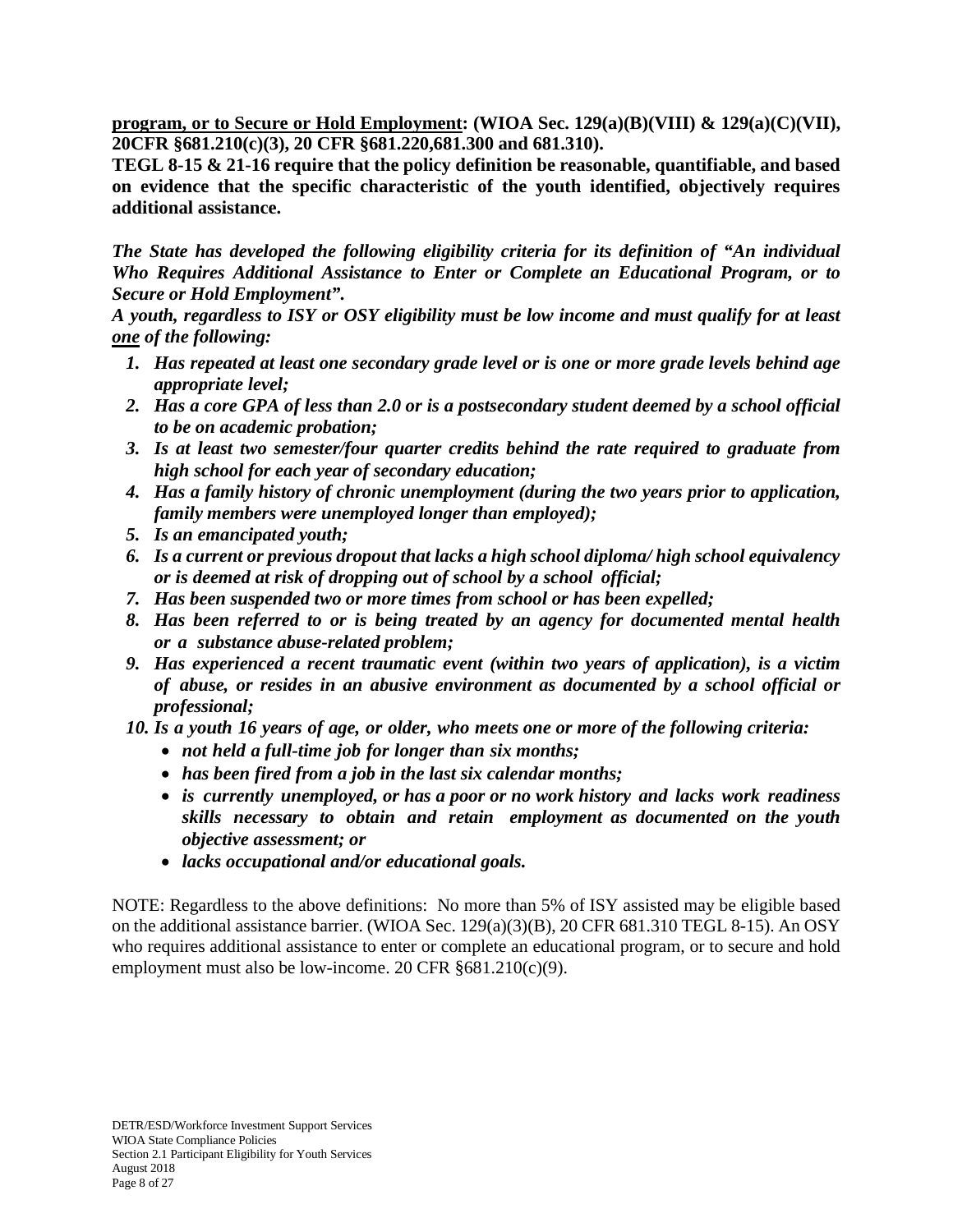**program, or to Secure or Hold Employment: (WIOA Sec. 129(a)(B)(VIII) & 129(a)(C)(VII), 20CFR §681.210(c)(3), 20 CFR §681.220,681.300 and 681.310).** 

**TEGL 8-15 & 21-16 require that the policy definition be reasonable, quantifiable, and based on evidence that the specific characteristic of the youth identified, objectively requires additional assistance.**

*The State has developed the following eligibility criteria for its definition of "An individual Who Requires Additional Assistance to Enter or Complete an Educational Program, or to Secure or Hold Employment".*

*A youth, regardless to ISY or OSY eligibility must be low income and must qualify for at least one of the following:*

- *1. Has repeated at least one secondary grade level or is one or more grade levels behind age appropriate level;*
- 2. Has a core GPA of less than 2.0 or is a postsecondary student deemed by a school official *to be on academic probation;*
- *3. Is at least two semester/four quarter credits behind the rate required to graduate from high school for each year of secondary education;*
- *4. Has a family history of chronic unemployment (during the two years prior to application, family members were unemployed longer than employed);*
- *5. Is an emancipated youth;*
- *6. Is a current or previous dropout that lacks a high school diploma/ high school equivalency or is deemed at risk of dropping out of school by a school official;*
- *7. Has been suspended two or more times from school or has been expelled;*
- *8. Has been referred to or is being treated by an agency for documented mental health or a substance abuse-related problem;*
- *9. Has experienced a recent traumatic event (within two years of application), is a victim of abuse, or resides in an abusive environment as documented by a school official or professional;*
- *10. Is a youth 16 years of age, or older, who meets one or more of the following criteria:*
	- *not held a full-time job for longer than six months;*
	- *has been fired from a job in the last six calendar months;*
	- *is currently unemployed, or has a poor or no work history and lacks work readiness skills necessary to obtain and retain employment as documented on the youth objective assessment; or*
	- *lacks occupational and/or educational goals.*

NOTE: Regardless to the above definitions: No more than 5% of ISY assisted may be eligible based on the additional assistance barrier. (WIOA Sec. 129(a)(3)(B), 20 CFR 681.310 TEGL 8-15). An OSY who requires additional assistance to enter or complete an educational program, or to secure and hold employment must also be low-income. 20 CFR §681.210(c)(9).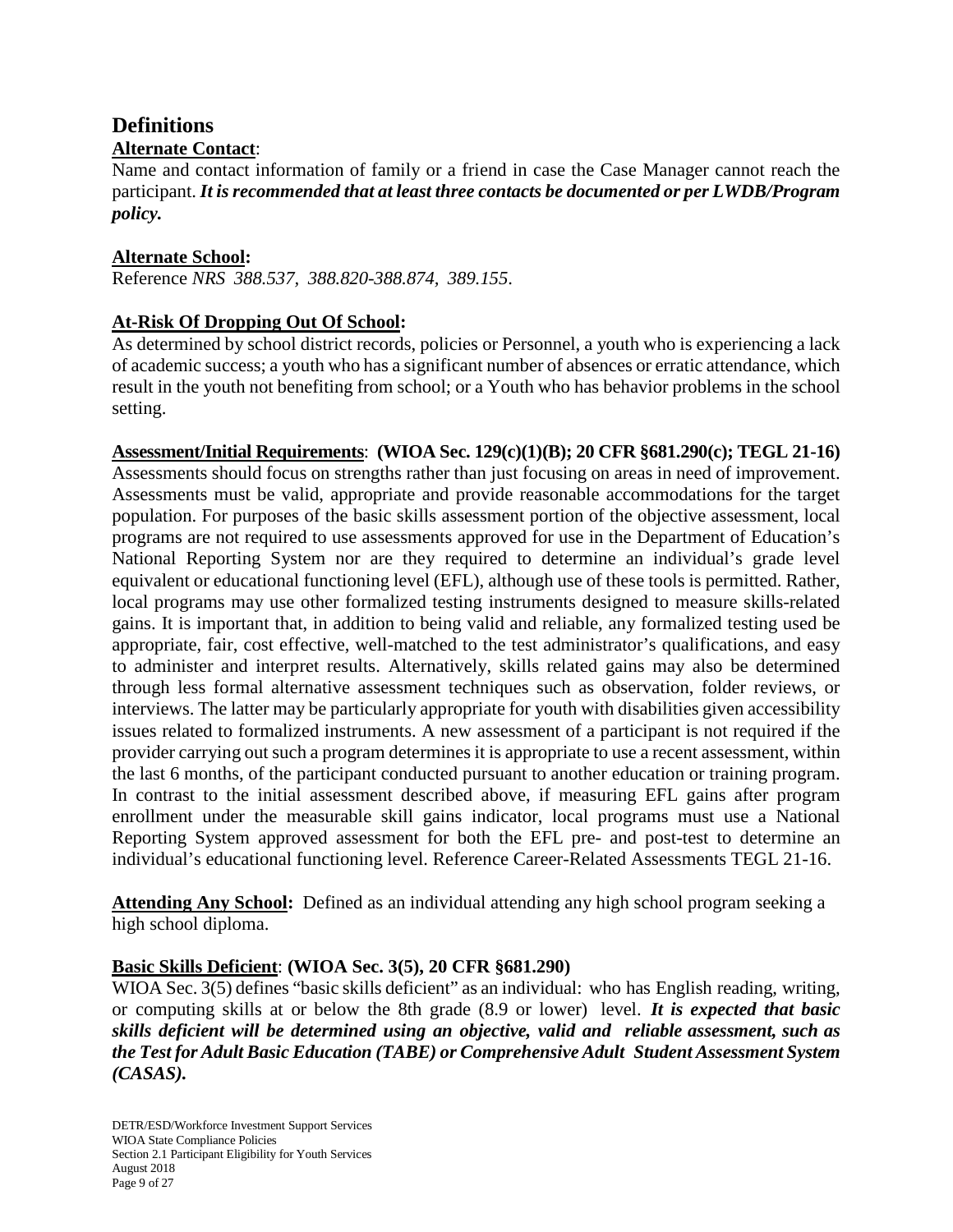# **Definitions**

## **Alternate Contact**:

Name and contact information of family or a friend in case the Case Manager cannot reach the participant. *It is recommended that at least three contacts be documented or per LWDB/Program policy.*

## **Alternate School:**

Reference *NRS 388.537, 388.820-388.874, 389.155*.

## **At-Risk Of Dropping Out Of School:**

As determined by school district records, policies or Personnel, a youth who is experiencing a lack of academic success; a youth who has a significant number of absences or erratic attendance, which result in the youth not benefiting from school; or a Youth who has behavior problems in the school setting.

## **Assessment/Initial Requirements**: **(WIOA Sec. 129(c)(1)(B); 20 CFR §681.290(c); TEGL 21-16)** Assessments should focus on strengths rather than just focusing on areas in need of improvement. Assessments must be valid, appropriate and provide reasonable accommodations for the target population. For purposes of the basic skills assessment portion of the objective assessment, local programs are not required to use assessments approved for use in the Department of Education's National Reporting System nor are they required to determine an individual's grade level equivalent or educational functioning level (EFL), although use of these tools is permitted. Rather, local programs may use other formalized testing instruments designed to measure skills-related gains. It is important that, in addition to being valid and reliable, any formalized testing used be appropriate, fair, cost effective, well-matched to the test administrator's qualifications, and easy to administer and interpret results. Alternatively, skills related gains may also be determined through less formal alternative assessment techniques such as observation, folder reviews, or interviews. The latter may be particularly appropriate for youth with disabilities given accessibility issues related to formalized instruments. A new assessment of a participant is not required if the provider carrying out such a program determines it is appropriate to use a recent assessment, within the last 6 months, of the participant conducted pursuant to another education or training program. In contrast to the initial assessment described above, if measuring EFL gains after program enrollment under the measurable skill gains indicator, local programs must use a National Reporting System approved assessment for both the EFL pre- and post-test to determine an individual's educational functioning level. Reference Career-Related Assessments TEGL 21-16.

**Attending Any School:** Defined as an individual attending any high school program seeking a high school diploma.

#### **Basic Skills Deficient**: **(WIOA Sec. 3(5), 20 CFR §681.290)**

WIOA Sec. 3(5) defines "basic skills deficient" as an individual: who has English reading, writing, or computing skills at or below the 8th grade (8.9 or lower) level. *It is expected that basic skills deficient will be determined using an objective, valid and reliable assessment, such as the Test for Adult Basic Education (TABE) or Comprehensive Adult Student Assessment System (CASAS).*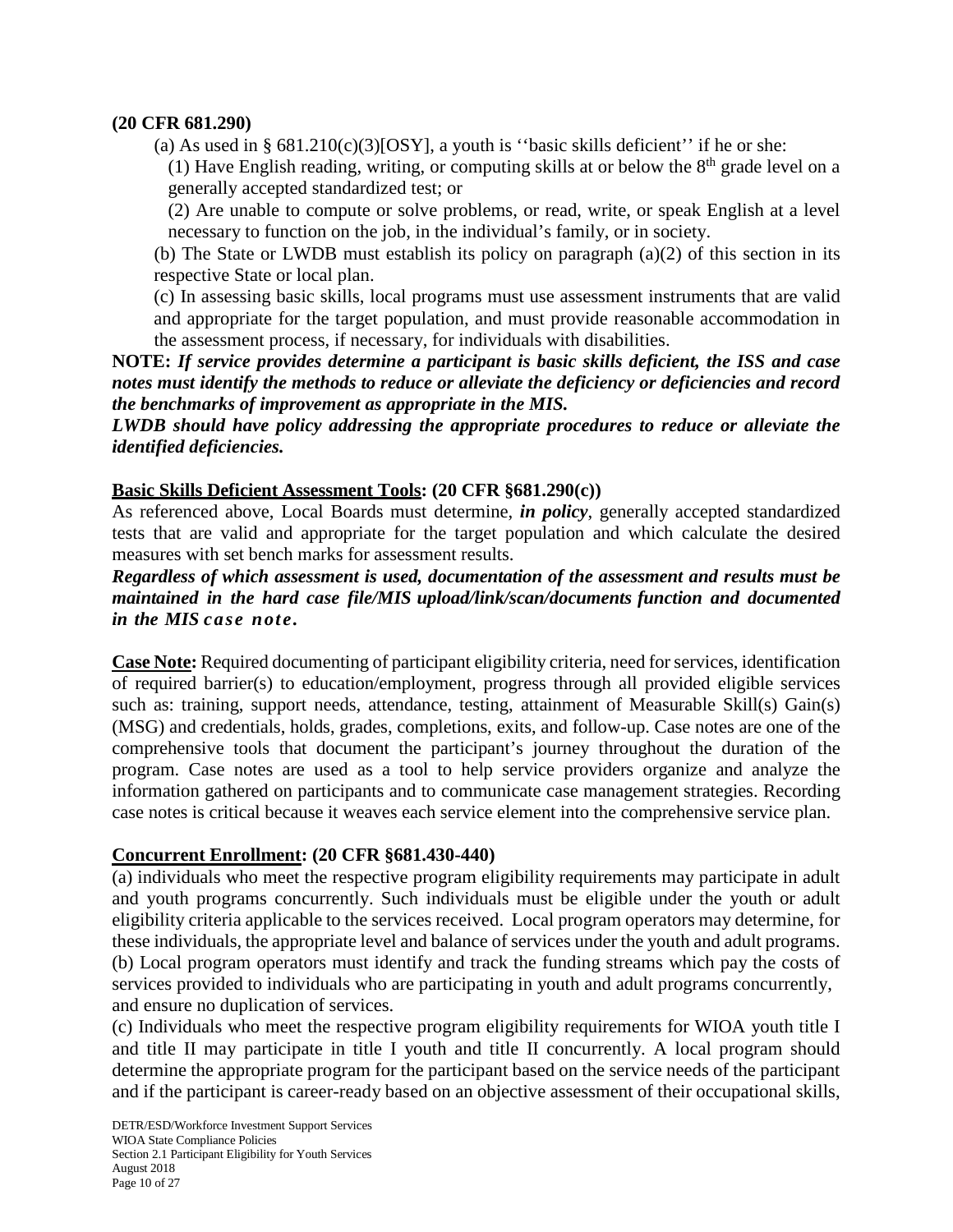#### **(20 CFR 681.290)**

(a) As used in §  $681.210(c)(3)[OSY]$ , a youth is "basic skills deficient" if he or she:

(1) Have English reading, writing, or computing skills at or below the  $8<sup>th</sup>$  grade level on a generally accepted standardized test; or

(2) Are unable to compute or solve problems, or read, write, or speak English at a level necessary to function on the job, in the individual's family, or in society.

(b) The State or LWDB must establish its policy on paragraph (a)(2) of this section in its respective State or local plan.

(c) In assessing basic skills, local programs must use assessment instruments that are valid and appropriate for the target population, and must provide reasonable accommodation in the assessment process, if necessary, for individuals with disabilities.

**NOTE:** *If service provides determine a participant is basic skills deficient, the ISS and case notes must identify the methods to reduce or alleviate the deficiency or deficiencies and record the benchmarks of improvement as appropriate in the MIS.*

*LWDB should have policy addressing the appropriate procedures to reduce or alleviate the identified deficiencies.*

## **Basic Skills Deficient Assessment Tools: (20 CFR §681.290(c))**

As referenced above, Local Boards must determine, *in policy*, generally accepted standardized tests that are valid and appropriate for the target population and which calculate the desired measures with set bench marks for assessment results.

## *Regardless of which assessment is used, documentation of the assessment and results must be maintained in the hard case file/MIS upload/link/scan/documents function and documented in the MIS case note.*

**Case Note:** Required documenting of participant eligibility criteria, need for services, identification of required barrier(s) to education/employment, progress through all provided eligible services such as: training, support needs, attendance, testing, attainment of Measurable Skill(s) Gain(s) (MSG) and credentials, holds, grades, completions, exits, and follow-up. Case notes are one of the comprehensive tools that document the participant's journey throughout the duration of the program. Case notes are used as a tool to help service providers organize and analyze the information gathered on participants and to communicate case management strategies. Recording case notes is critical because it weaves each service element into the comprehensive service plan.

## **Concurrent Enrollment: (20 CFR §681.430-440)**

(a) individuals who meet the respective program eligibility requirements may participate in adult and youth programs concurrently. Such individuals must be eligible under the youth or adult eligibility criteria applicable to the services received. Local program operators may determine, for these individuals, the appropriate level and balance of services under the youth and adult programs. (b) Local program operators must identify and track the funding streams which pay the costs of services provided to individuals who are participating in youth and adult programs concurrently, and ensure no duplication of services.

(c) Individuals who meet the respective program eligibility requirements for WIOA youth title I and title II may participate in title I youth and title II concurrently. A local program should determine the appropriate program for the participant based on the service needs of the participant and if the participant is career-ready based on an objective assessment of their occupational skills,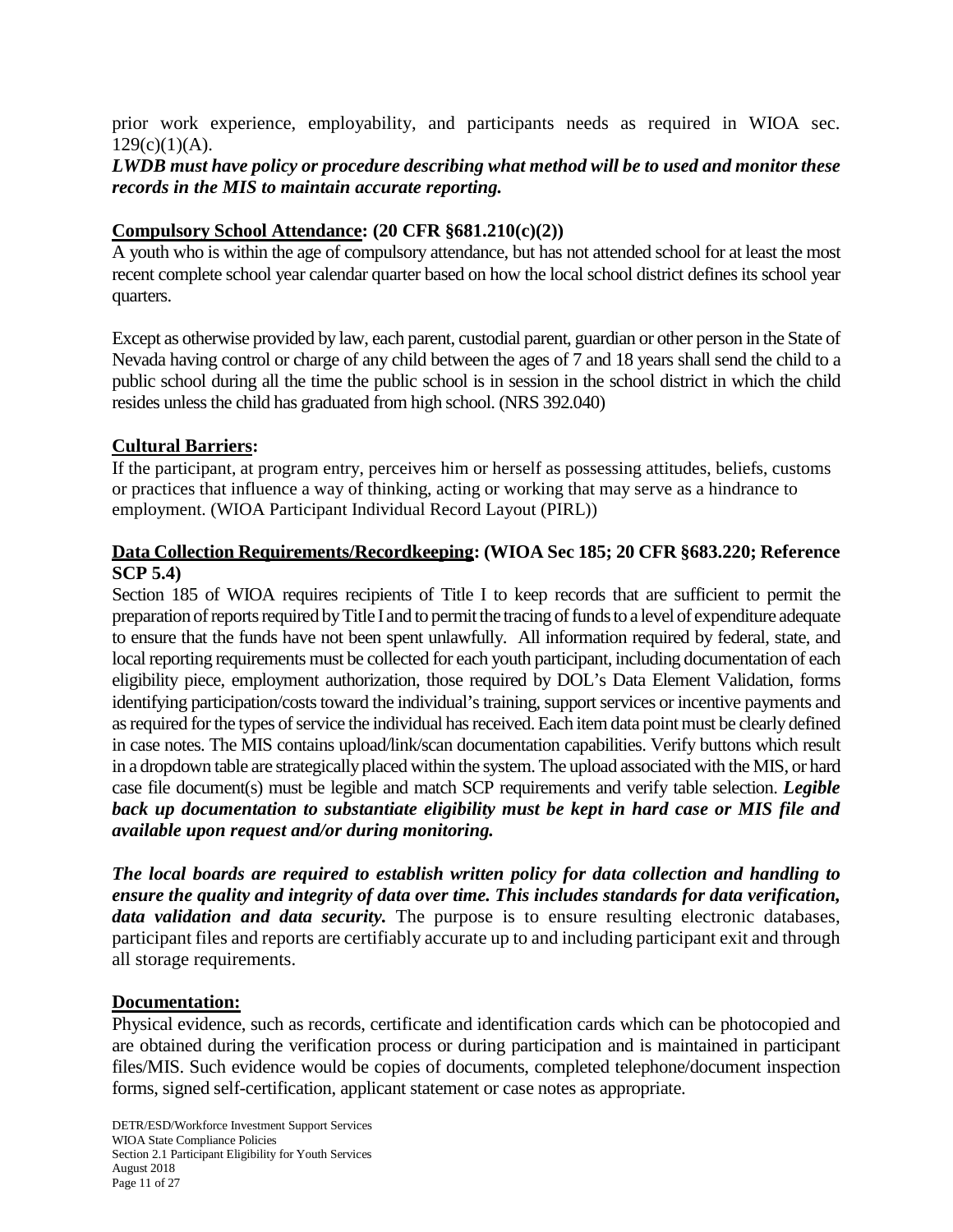prior work experience, employability, and participants needs as required in WIOA sec.  $129(c)(1)(A)$ .

## *LWDB must have policy or procedure describing what method will be to used and monitor these records in the MIS to maintain accurate reporting.*

## **Compulsory School Attendance: (20 CFR §681.210(c)(2))**

A youth who is within the age of compulsory attendance, but has not attended school for at least the most recent complete school year calendar quarter based on how the local school district defines its school year quarters.

Except as otherwise provided by law, each parent, custodial parent, guardian or other person in the State of Nevada having control or charge of any child between the ages of 7 and 18 years shall send the child to a public school during all the time the public school is in session in the school district in which the child resides unless the child has graduated from high school. (NRS 392.040)

#### **Cultural Barriers:**

If the participant, at program entry, perceives him or herself as possessing attitudes, beliefs, customs or practices that influence a way of thinking, acting or working that may serve as a hindrance to employment. (WIOA Participant Individual Record Layout (PIRL))

## **Data Collection Requirements/Recordkeeping: (WIOA Sec 185; 20 CFR §683.220; Reference SCP 5.4)**

Section 185 of WIOA requires recipients of Title I to keep records that are sufficient to permit the preparation of reports required by Title I and to permit the tracing of funds to a level of expenditure adequate to ensure that the funds have not been spent unlawfully. All information required by federal, state, and local reporting requirements must be collected for each youth participant, including documentation of each eligibility piece, employment authorization, those required by DOL's Data Element Validation, forms identifying participation/costs toward the individual's training, support services or incentive payments and as required for the types of service the individual has received. Each item data point must be clearly defined in case notes. The MIS contains upload/link/scan documentation capabilities. Verify buttons which result in a dropdown table are strategically placed within the system. The upload associated with the MIS, or hard case file document(s) must be legible and match SCP requirements and verify table selection. *Legible back up documentation to substantiate eligibility must be kept in hard case or MIS file and available upon request and/or during monitoring.*

*The local boards are required to establish written policy for data collection and handling to ensure the quality and integrity of data over time. This includes standards for data verification, data validation and data security.* The purpose is to ensure resulting electronic databases, participant files and reports are certifiably accurate up to and including participant exit and through all storage requirements.

#### **Documentation:**

Physical evidence, such as records, certificate and identification cards which can be photocopied and are obtained during the verification process or during participation and is maintained in participant files/MIS. Such evidence would be copies of documents, completed telephone/document inspection forms, signed self-certification, applicant statement or case notes as appropriate.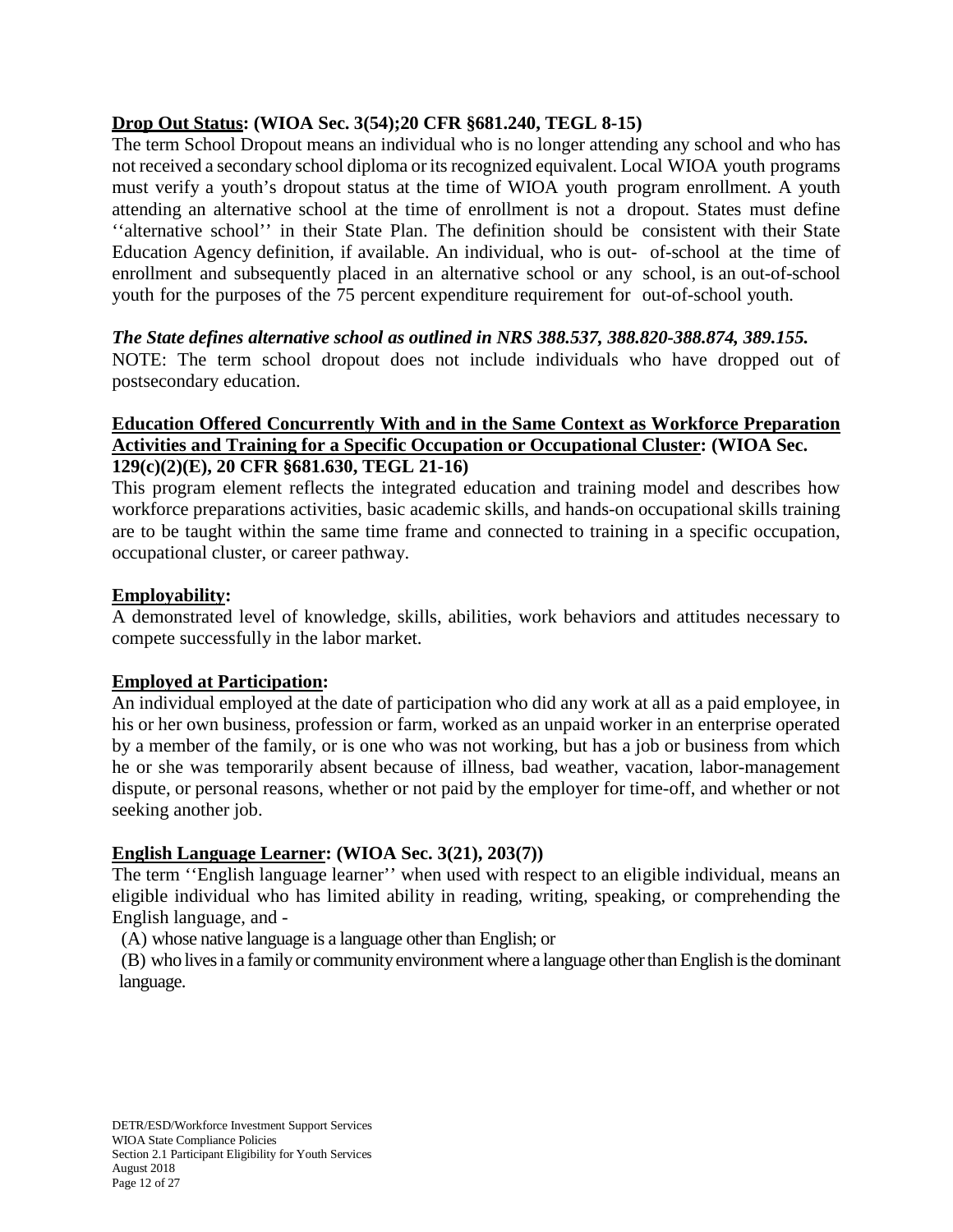## **Drop Out Status: (WIOA Sec. 3(54);20 CFR §681.240, TEGL 8-15)**

The term School Dropout means an individual who is no longer attending any school and who has not received a secondary school diploma or its recognized equivalent. Local WIOA youth programs must verify a youth's dropout status at the time of WIOA youth program enrollment. A youth attending an alternative school at the time of enrollment is not a dropout. States must define ''alternative school'' in their State Plan. The definition should be consistent with their State Education Agency definition, if available. An individual, who is out- of-school at the time of enrollment and subsequently placed in an alternative school or any school, is an out-of-school youth for the purposes of the 75 percent expenditure requirement for out-of-school youth.

## *The State defines alternative school as outlined in NRS 388.537, 388.820-388.874, 389.155.*

NOTE: The term school dropout does not include individuals who have dropped out of postsecondary education.

## **Education Offered Concurrently With and in the Same Context as Workforce Preparation Activities and Training for a Specific Occupation or Occupational Cluster: (WIOA Sec. 129(c)(2)(E), 20 CFR §681.630, TEGL 21-16)**

This program element reflects the integrated education and training model and describes how workforce preparations activities, basic academic skills, and hands-on occupational skills training are to be taught within the same time frame and connected to training in a specific occupation, occupational cluster, or career pathway.

## **Employability:**

A demonstrated level of knowledge, skills, abilities, work behaviors and attitudes necessary to compete successfully in the labor market.

# **Employed at Participation:**

An individual employed at the date of participation who did any work at all as a paid employee, in his or her own business, profession or farm, worked as an unpaid worker in an enterprise operated by a member of the family, or is one who was not working, but has a job or business from which he or she was temporarily absent because of illness, bad weather, vacation, labor-management dispute, or personal reasons, whether or not paid by the employer for time-off, and whether or not seeking another job.

# **English Language Learner: (WIOA Sec. 3(21), 203(7))**

The term ''English language learner'' when used with respect to an eligible individual, means an eligible individual who has limited ability in reading, writing, speaking, or comprehending the English language, and -

(A) whose native language is a language other than English; or

(B) who lives in a family or community environment where a language other than English is the dominant language.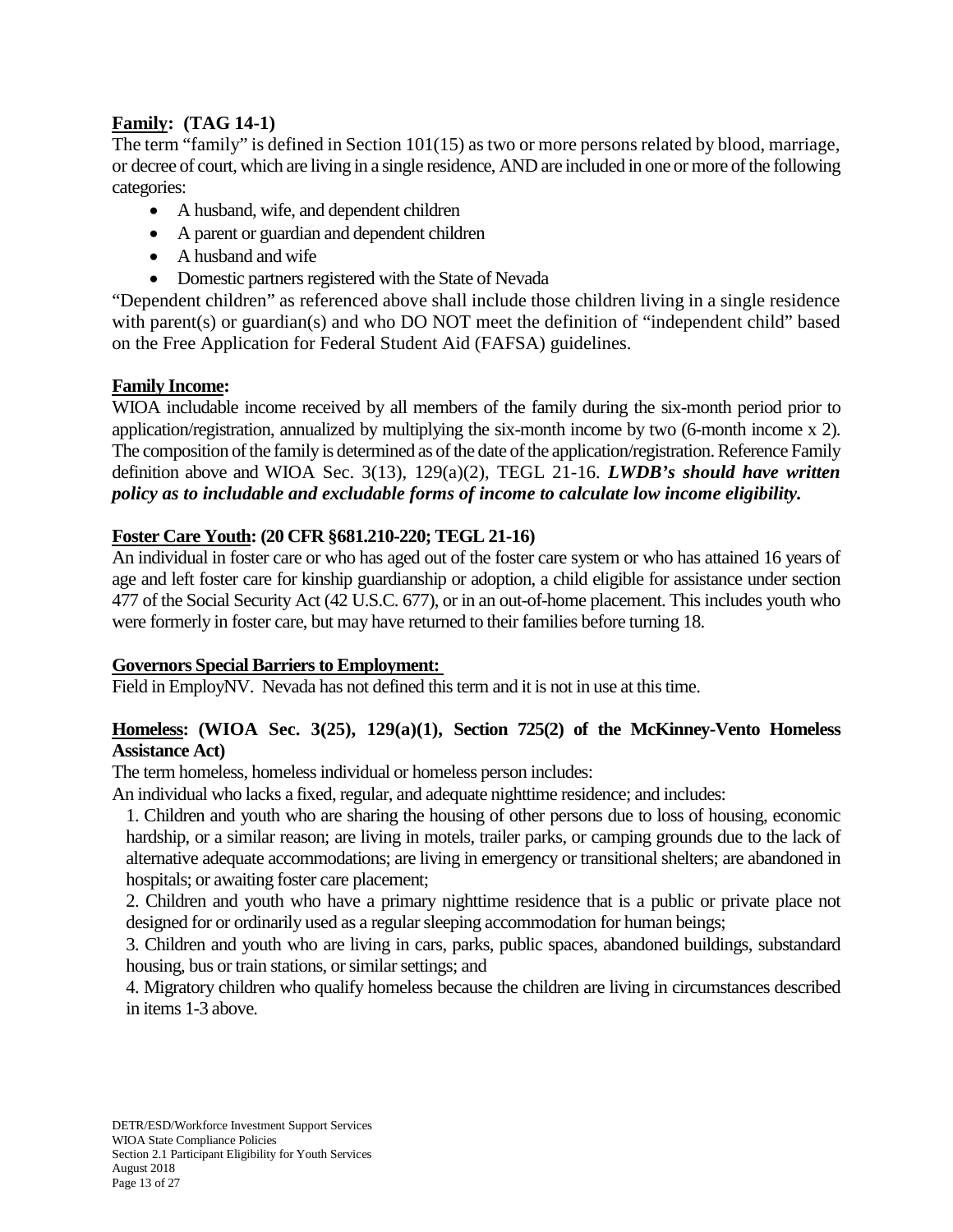## **Family: (TAG 14-1)**

The term "family" is defined in Section 101(15) as two or more persons related by blood, marriage, or decree of court, which are living in a single residence, AND are included in one or more of the following categories:

- A husband, wife, and dependent children
- A parent or guardian and dependent children
- A husband and wife
- Domestic partners registered with the State of Nevada

"Dependent children" as referenced above shall include those children living in a single residence with parent(s) or guardian(s) and who DO NOT meet the definition of "independent child" based on the Free Application for Federal Student Aid (FAFSA) guidelines.

## **Family Income:**

WIOA includable income received by all members of the family during the six-month period prior to application/registration, annualized by multiplying the six-month income by two (6-month income x 2). The composition of the family is determined as of the date of the application/registration. Reference Family definition above and WIOA Sec. 3(13), 129(a)(2), TEGL 21-16. *LWDB's should have written policy as to includable and excludable forms of income to calculate low income eligibility.*

## **Foster Care Youth: (20 CFR §681.210-220; TEGL 21-16)**

An individual in foster care or who has aged out of the foster care system or who has attained 16 years of age and left foster care for kinship guardianship or adoption, a child eligible for assistance under section 477 of the Social Security Act (42 U.S.C. 677), or in an out-of-home placement. This includes youth who were formerly in foster care, but may have returned to their families before turning 18.

## **Governors Special Barriers to Employment:**

Field in EmployNV. Nevada has not defined this term and it is not in use at this time.

## **Homeless: (WIOA Sec. 3(25), 129(a)(1), Section 725(2) of the McKinney-Vento Homeless Assistance Act)**

The term homeless, homeless individual or homeless person includes:

An individual who lacks a fixed, regular, and adequate nighttime residence; and includes:

1. Children and youth who are sharing the housing of other persons due to loss of housing, economic hardship, or a similar reason; are living in motels, trailer parks, or camping grounds due to the lack of alternative adequate accommodations; are living in emergency or transitional shelters; are abandoned in hospitals; or awaiting foster care placement;

2. Children and youth who have a primary nighttime residence that is a public or private place not designed for or ordinarily used as a regular sleeping accommodation for human beings;

3. Children and youth who are living in cars, parks, public spaces, abandoned buildings, substandard housing, bus or train stations, or similar settings; and

4. Migratory children who qualify homeless because the children are living in circumstances described in items 1-3 above.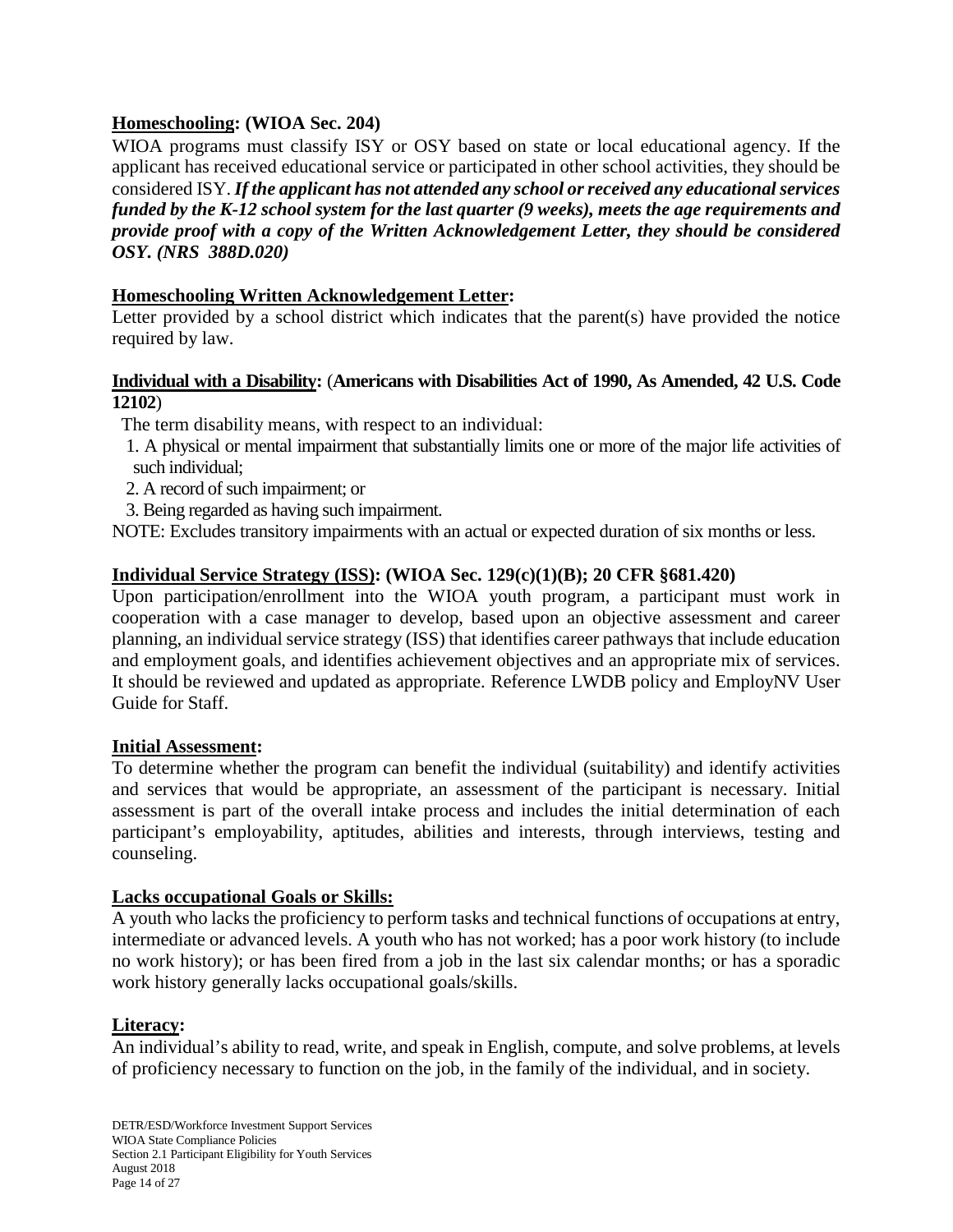## **Homeschooling: (WIOA Sec. 204)**

WIOA programs must classify ISY or OSY based on state or local educational agency. If the applicant has received educational service or participated in other school activities, they should be considered ISY. *If the applicant has not attended any school or received any educational services funded by the K-12 school system for the last quarter (9 weeks), meets the age requirements and provide proof with a copy of the Written Acknowledgement Letter, they should be considered OSY. (NRS 388D.020)*

## **Homeschooling Written Acknowledgement Letter:**

Letter provided by a school district which indicates that the parent(s) have provided the notice required by law.

## **Individual with a Disability:** (**Americans with Disabilities Act of 1990, As Amended, 42 U.S. Code 12102**)

The term disability means, with respect to an individual:

- 1. A physical or mental impairment that substantially limits one or more of the major life activities of such individual;
- 2. A record of such impairment; or
- 3. Being regarded as having such impairment.

NOTE: Excludes transitory impairments with an actual or expected duration of six months or less.

## **Individual Service Strategy (ISS): (WIOA Sec. 129(c)(1)(B); 20 CFR §681.420)**

Upon participation/enrollment into the WIOA youth program, a participant must work in cooperation with a case manager to develop, based upon an objective assessment and career planning, an individual service strategy (ISS) that identifies career pathways that include education and employment goals, and identifies achievement objectives and an appropriate mix of services. It should be reviewed and updated as appropriate. Reference LWDB policy and EmployNV User Guide for Staff.

#### **Initial Assessment:**

To determine whether the program can benefit the individual (suitability) and identify activities and services that would be appropriate, an assessment of the participant is necessary. Initial assessment is part of the overall intake process and includes the initial determination of each participant's employability, aptitudes, abilities and interests, through interviews, testing and counseling.

#### **Lacks occupational Goals or Skills:**

A youth who lacks the proficiency to perform tasks and technical functions of occupations at entry, intermediate or advanced levels. A youth who has not worked; has a poor work history (to include no work history); or has been fired from a job in the last six calendar months; or has a sporadic work history generally lacks occupational goals/skills.

#### **Literacy:**

An individual's ability to read, write, and speak in English, compute, and solve problems, at levels of proficiency necessary to function on the job, in the family of the individual, and in society.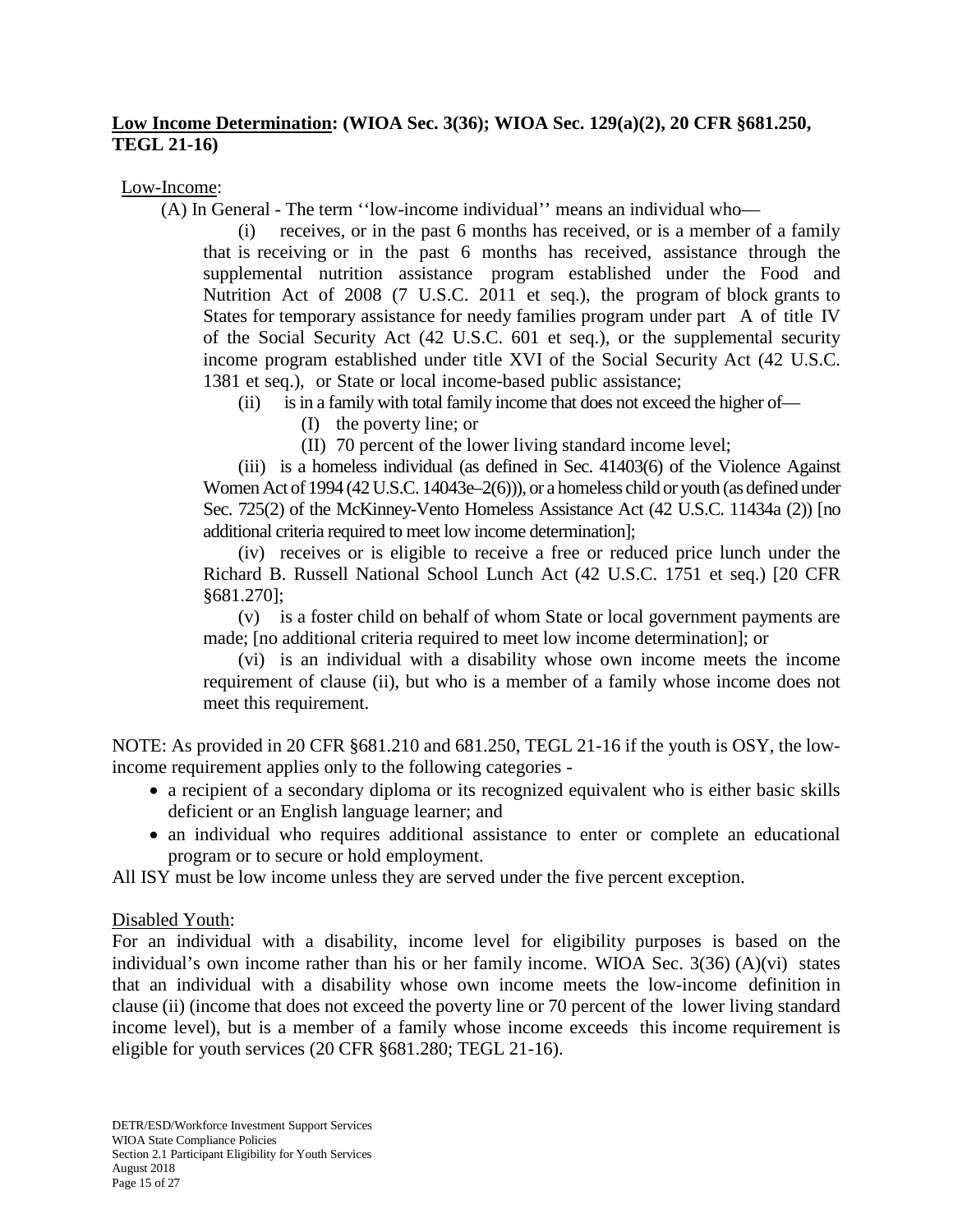## **Low Income Determination: (WIOA Sec. 3(36); WIOA Sec. 129(a)(2), 20 CFR §681.250, TEGL 21-16)**

Low-Income:

(A) In General - The term ''low-income individual'' means an individual who—

(i) receives, or in the past 6 months has received, or is a member of a family that is receiving or in the past 6 months has received, assistance through the supplemental nutrition assistance program established under the Food and Nutrition Act of 2008 (7 U.S.C. 2011 et seq.), the program of block grants to States for temporary assistance for needy families program under part A of title IV of the Social Security Act (42 U.S.C. 601 et seq.), or the supplemental security income program established under title XVI of the Social Security Act (42 U.S.C. 1381 et seq.), or State or local income-based public assistance;

(ii) is in a family with total family income that does not exceed the higher of—

(I) the poverty line; or

(II) 70 percent of the lower living standard income level;

(iii) is a homeless individual (as defined in Sec. 41403(6) of the Violence Against Women Act of 1994 (42 U.S.C. 14043e–2(6))), or a homeless child or youth (as defined under Sec. 725(2) of the McKinney-Vento Homeless Assistance Act (42 U.S.C. 11434a (2)) [no additional criteria required to meet low income determination];

(iv) receives or is eligible to receive a free or reduced price lunch under the Richard B. Russell National School Lunch Act (42 U.S.C. 1751 et seq.) [20 CFR §681.270];

(v) is a foster child on behalf of whom State or local government payments are made; [no additional criteria required to meet low income determination]; or

(vi) is an individual with a disability whose own income meets the income requirement of clause (ii), but who is a member of a family whose income does not meet this requirement.

NOTE: As provided in 20 CFR §681.210 and 681.250, TEGL 21-16 if the youth is OSY, the lowincome requirement applies only to the following categories -

- a recipient of a secondary diploma or its recognized equivalent who is either basic skills deficient or an English language learner; and
- an individual who requires additional assistance to enter or complete an educational program or to secure or hold employment.

All ISY must be low income unless they are served under the five percent exception.

#### Disabled Youth:

For an individual with a disability, income level for eligibility purposes is based on the individual's own income rather than his or her family income. WIOA Sec. 3(36) (A)(vi) states that an individual with a disability whose own income meets the low-income definition in clause (ii) (income that does not exceed the poverty line or 70 percent of the lower living standard income level), but is a member of a family whose income exceeds this income requirement is eligible for youth services (20 CFR §681.280; TEGL 21-16).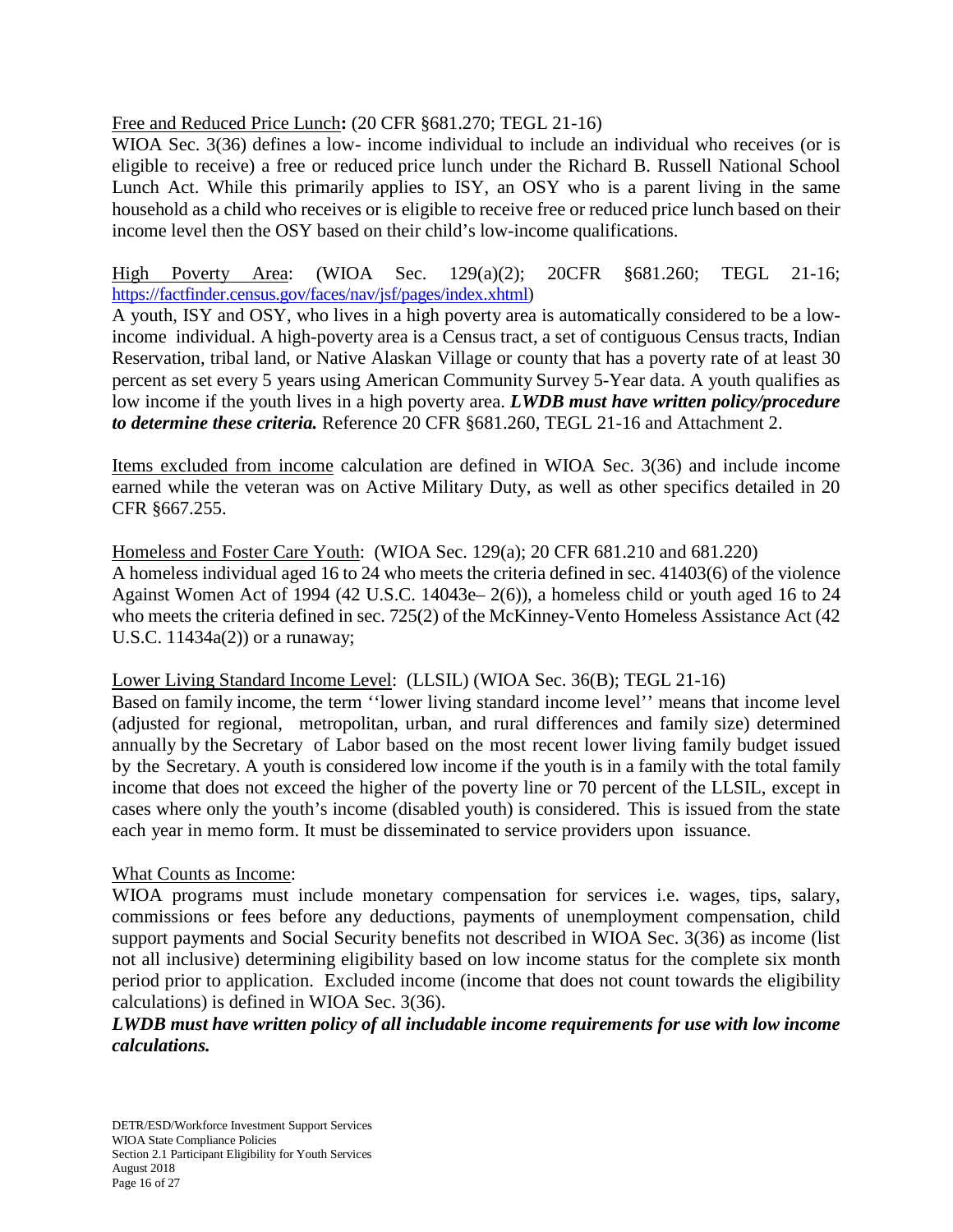Free and Reduced Price Lunch**:** (20 CFR §681.270; TEGL 21-16)

WIOA Sec. 3(36) defines a low- income individual to include an individual who receives (or is eligible to receive) a free or reduced price lunch under the Richard B. Russell National School Lunch Act. While this primarily applies to ISY, an OSY who is a parent living in the same household as a child who receives or is eligible to receive free or reduced price lunch based on their income level then the OSY based on their child's low-income qualifications.

High Poverty Area: (WIOA Sec. 129(a)(2); 20CFR §681.260; TEGL 21-16; [https://factfinder.census.gov/faces/nav/jsf/pages/index.xhtml\)](https://factfinder.census.gov/faces/nav/jsf/pages/index.xhtml)

A youth, ISY and OSY, who lives in a high poverty area is automatically considered to be a lowincome individual. A high-poverty area is a Census tract, a set of contiguous Census tracts, Indian Reservation, tribal land, or Native Alaskan Village or county that has a poverty rate of at least 30 percent as set every 5 years using American Community Survey 5-Year data. A youth qualifies as low income if the youth lives in a high poverty area. *LWDB must have written policy/procedure to determine these criteria.* Reference 20 CFR §681.260, TEGL 21-16 and Attachment 2.

Items excluded from income calculation are defined in WIOA Sec. 3(36) and include income earned while the veteran was on Active Military Duty, as well as other specifics detailed in 20 CFR §667.255.

Homeless and Foster Care Youth: (WIOA Sec. 129(a); 20 CFR 681.210 and 681.220) A homeless individual aged 16 to 24 who meets the criteria defined in sec. 41403(6) of the violence Against Women Act of 1994 (42 U.S.C. 14043e– 2(6)), a homeless child or youth aged 16 to 24 who meets the criteria defined in sec. 725(2) of the McKinney-Vento Homeless Assistance Act (42 U.S.C. 11434a(2)) or a runaway;

Lower Living Standard Income Level: (LLSIL) (WIOA Sec. 36(B); TEGL 21-16)

Based on family income, the term ''lower living standard income level'' means that income level (adjusted for regional, metropolitan, urban, and rural differences and family size) determined annually by the Secretary of Labor based on the most recent lower living family budget issued by the Secretary. A youth is considered low income if the youth is in a family with the total family income that does not exceed the higher of the poverty line or 70 percent of the LLSIL, except in cases where only the youth's income (disabled youth) is considered. This is issued from the state each year in memo form. It must be disseminated to service providers upon issuance.

## What Counts as Income:

WIOA programs must include monetary compensation for services i.e. wages, tips, salary, commissions or fees before any deductions, payments of unemployment compensation, child support payments and Social Security benefits not described in WIOA Sec. 3(36) as income (list not all inclusive) determining eligibility based on low income status for the complete six month period prior to application. Excluded income (income that does not count towards the eligibility calculations) is defined in WIOA Sec. 3(36).

*LWDB must have written policy of all includable income requirements for use with low income calculations.*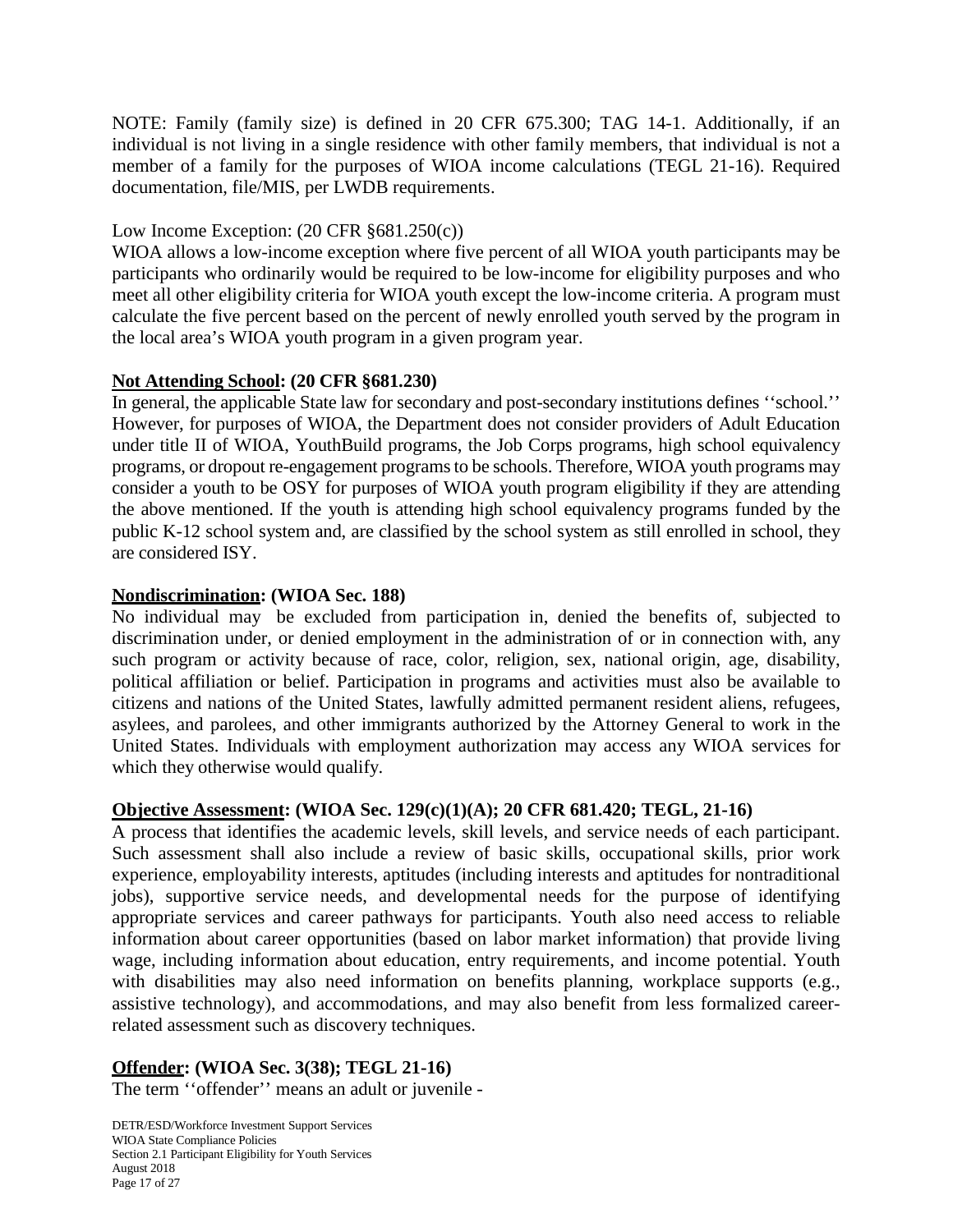NOTE: Family (family size) is defined in 20 CFR 675.300; TAG 14-1. Additionally, if an individual is not living in a single residence with other family members, that individual is not a member of a family for the purposes of WIOA income calculations (TEGL 21-16). Required documentation, file/MIS, per LWDB requirements.

## Low Income Exception: (20 CFR §681.250(c))

WIOA allows a low-income exception where five percent of all WIOA youth participants may be participants who ordinarily would be required to be low-income for eligibility purposes and who meet all other eligibility criteria for WIOA youth except the low-income criteria. A program must calculate the five percent based on the percent of newly enrolled youth served by the program in the local area's WIOA youth program in a given program year.

## **Not Attending School: (20 CFR §681.230)**

In general, the applicable State law for secondary and post-secondary institutions defines ''school.'' However, for purposes of WIOA, the Department does not consider providers of Adult Education under title II of WIOA, YouthBuild programs, the Job Corps programs, high school equivalency programs, or dropout re-engagement programs to be schools. Therefore, WIOA youth programs may consider a youth to be OSY for purposes of WIOA youth program eligibility if they are attending the above mentioned. If the youth is attending high school equivalency programs funded by the public K-12 school system and, are classified by the school system as still enrolled in school, they are considered ISY.

## **Nondiscrimination: (WIOA Sec. 188)**

No individual may be excluded from participation in, denied the benefits of, subjected to discrimination under, or denied employment in the administration of or in connection with, any such program or activity because of race, color, religion, sex, national origin, age, disability, political affiliation or belief. Participation in programs and activities must also be available to citizens and nations of the United States, lawfully admitted permanent resident aliens, refugees, asylees, and parolees, and other immigrants authorized by the Attorney General to work in the United States. Individuals with employment authorization may access any WIOA services for which they otherwise would qualify.

#### **Objective Assessment: (WIOA Sec. 129(c)(1)(A); 20 CFR 681.420; TEGL, 21-16)**

A process that identifies the academic levels, skill levels, and service needs of each participant. Such assessment shall also include a review of basic skills, occupational skills, prior work experience, employability interests, aptitudes (including interests and aptitudes for nontraditional jobs), supportive service needs, and developmental needs for the purpose of identifying appropriate services and career pathways for participants. Youth also need access to reliable information about career opportunities (based on labor market information) that provide living wage, including information about education, entry requirements, and income potential. Youth with disabilities may also need information on benefits planning, workplace supports (e.g., assistive technology), and accommodations, and may also benefit from less formalized careerrelated assessment such as discovery techniques.

## **Offender: (WIOA Sec. 3(38); TEGL 21-16)**

The term ''offender'' means an adult or juvenile -

DETR/ESD/Workforce Investment Support Services WIOA State Compliance Policies Section 2.1 Participant Eligibility for Youth Services August 2018 Page 17 of 27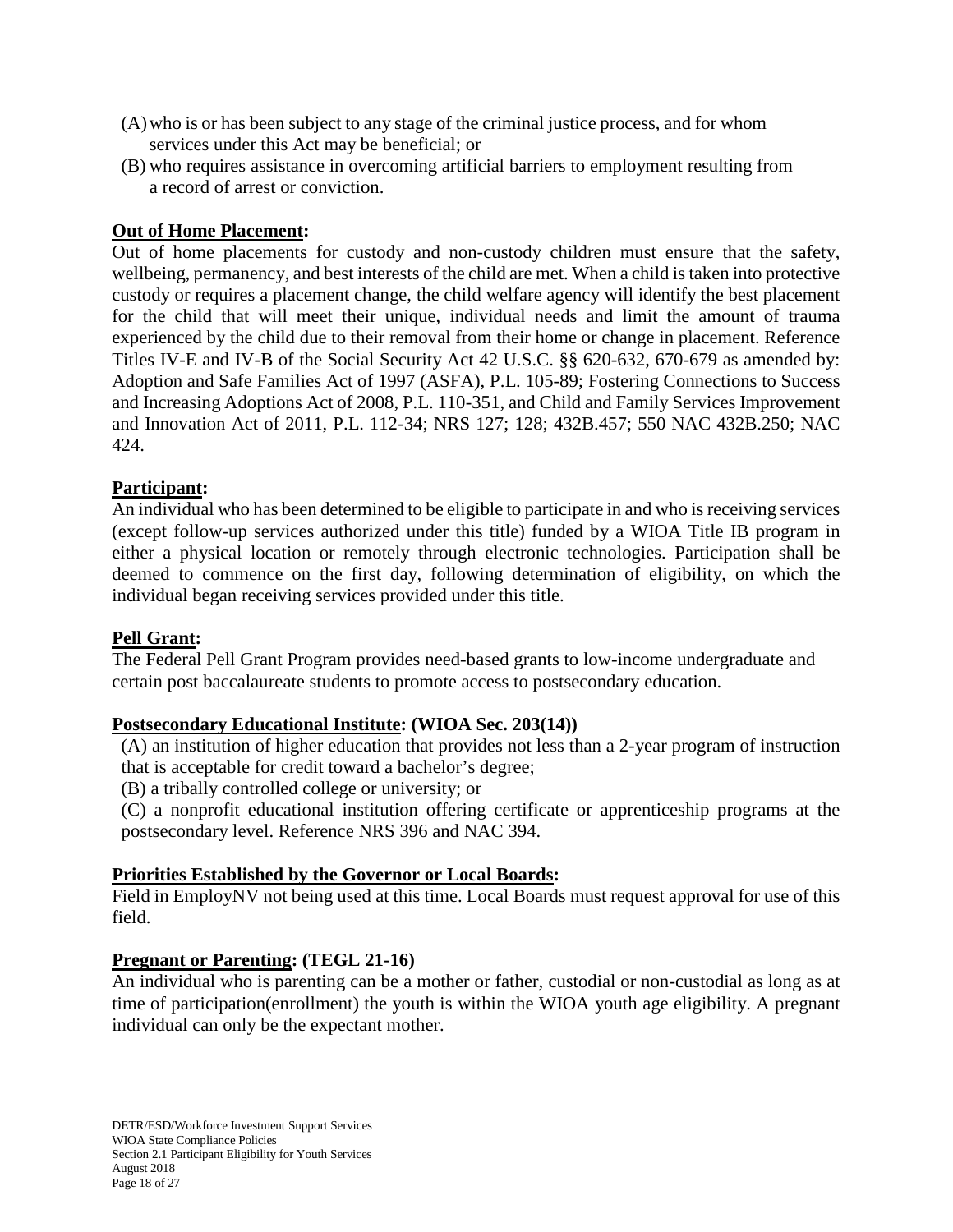- (A)who is or has been subject to any stage of the criminal justice process, and for whom services under this Act may be beneficial; or
- (B) who requires assistance in overcoming artificial barriers to employment resulting from a record of arrest or conviction.

## **Out of Home Placement:**

Out of home placements for custody and non-custody children must ensure that the safety, wellbeing, permanency, and best interests of the child are met. When a child is taken into protective custody or requires a placement change, the child welfare agency will identify the best placement for the child that will meet their unique, individual needs and limit the amount of trauma experienced by the child due to their removal from their home or change in placement. Reference Titles IV-E and IV-B of the Social Security Act 42 U.S.C. §§ 620-632, 670-679 as amended by: Adoption and Safe Families Act of 1997 (ASFA), P.L. 105-89; Fostering Connections to Success and Increasing Adoptions Act of 2008, P.L. 110-351, and Child and Family Services Improvement and Innovation Act of 2011, P.L. 112-34; NRS 127; 128; 432B.457; 550 NAC 432B.250; NAC 424.

## **Participant:**

An individual who has been determined to be eligible to participate in and who is receiving services (except follow-up services authorized under this title) funded by a WIOA Title IB program in either a physical location or remotely through electronic technologies. Participation shall be deemed to commence on the first day, following determination of eligibility, on which the individual began receiving services provided under this title.

#### **Pell Grant:**

The Federal Pell Grant Program provides need-based grants to low-income undergraduate and certain post baccalaureate students to promote access to postsecondary education.

#### **Postsecondary Educational Institute: (WIOA Sec. 203(14))**

(A) an institution of higher education that provides not less than a 2-year program of instruction that is acceptable for credit toward a bachelor's degree;

(B) a tribally controlled college or university; or

(C) a nonprofit educational institution offering certificate or apprenticeship programs at the postsecondary level. Reference NRS 396 and NAC 394.

#### **Priorities Established by the Governor or Local Boards:**

Field in EmployNV not being used at this time. Local Boards must request approval for use of this field.

#### **Pregnant or Parenting: (TEGL 21-16)**

An individual who is parenting can be a mother or father, custodial or non-custodial as long as at time of participation(enrollment) the youth is within the WIOA youth age eligibility. A pregnant individual can only be the expectant mother.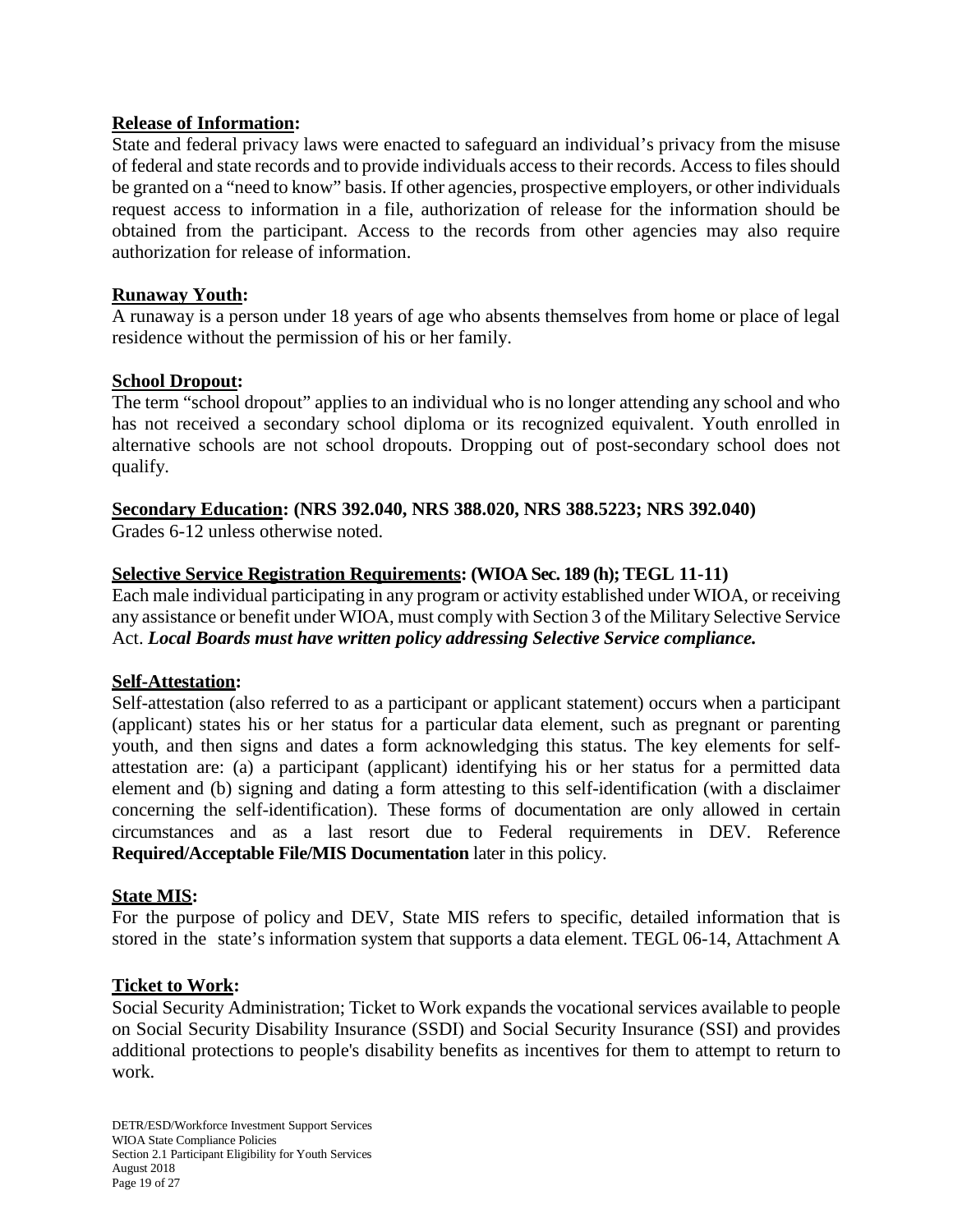#### **Release of Information:**

State and federal privacy laws were enacted to safeguard an individual's privacy from the misuse of federal and state records and to provide individuals access to their records. Access to files should be granted on a "need to know" basis. If other agencies, prospective employers, or other individuals request access to information in a file, authorization of release for the information should be obtained from the participant. Access to the records from other agencies may also require authorization for release of information.

#### **Runaway Youth:**

A runaway is a person under 18 years of age who absents themselves from home or place of legal residence without the permission of his or her family.

#### **School Dropout:**

The term "school dropout" applies to an individual who is no longer attending any school and who has not received a secondary school diploma or its recognized equivalent. Youth enrolled in alternative schools are not school dropouts. Dropping out of post-secondary school does not qualify.

#### **Secondary Education: (NRS 392.040, NRS 388.020, NRS 388.5223; NRS 392.040)**

Grades 6-12 unless otherwise noted.

## **Selective Service Registration Requirements: (WIOA Sec. 189 (h); TEGL 11-11)**

Each male individual participating in any program or activity established under WIOA, or receiving any assistance or benefit under WIOA, must comply with Section 3 of the Military Selective Service Act. *Local Boards must have written policy addressing Selective Service compliance.*

#### **Self-Attestation:**

Self-attestation (also referred to as a participant or applicant statement) occurs when a participant (applicant) states his or her status for a particular data element, such as pregnant or parenting youth, and then signs and dates a form acknowledging this status. The key elements for selfattestation are: (a) a participant (applicant) identifying his or her status for a permitted data element and (b) signing and dating a form attesting to this self-identification (with a disclaimer concerning the self-identification). These forms of documentation are only allowed in certain circumstances and as a last resort due to Federal requirements in DEV. Reference **Required/Acceptable File/MIS Documentation** later in this policy.

#### **State MIS:**

For the purpose of policy and DEV, State MIS refers to specific, detailed information that is stored in the state's information system that supports a data element. TEGL 06-14, Attachment A

#### **Ticket to Work:**

Social Security Administration; Ticket to Work expands the vocational services available to people on Social Security Disability Insurance (SSDI) and Social Security Insurance (SSI) and provides additional protections to people's disability benefits as incentives for them to attempt to return to work.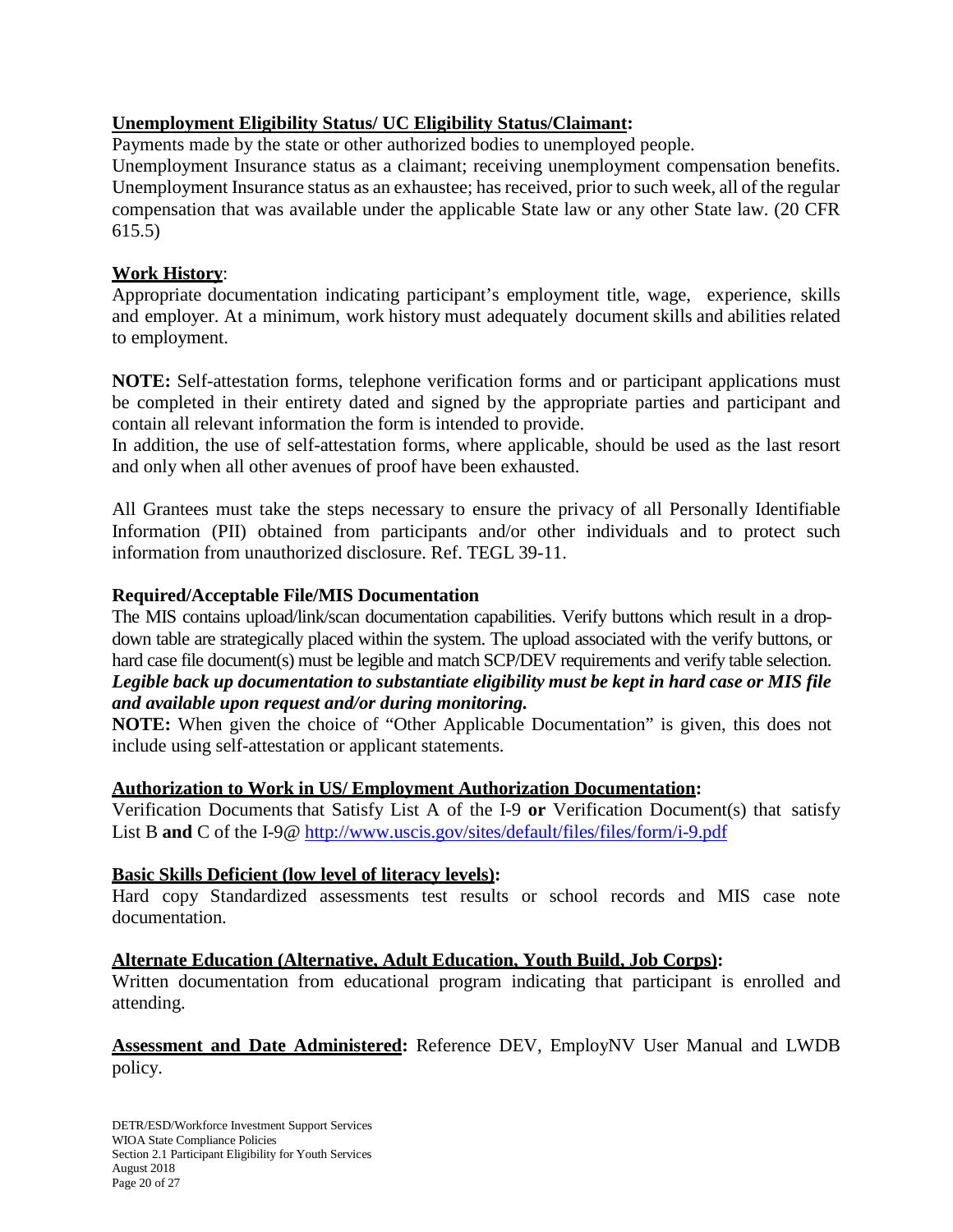## **Unemployment Eligibility Status/ UC Eligibility Status/Claimant:**

Payments made by the state or other authorized bodies to unemployed people.

Unemployment Insurance status as a claimant; receiving unemployment compensation benefits. Unemployment Insurance status as an exhaustee; has received, prior to such week, all of the regular compensation that was available under the applicable State law or any other State law. (20 CFR 615.5)

## **Work History**:

Appropriate documentation indicating participant's employment title, wage, experience, skills and employer. At a minimum, work history must adequately document skills and abilities related to employment.

**NOTE:** Self-attestation forms, telephone verification forms and or participant applications must be completed in their entirety dated and signed by the appropriate parties and participant and contain all relevant information the form is intended to provide.

In addition, the use of self-attestation forms, where applicable, should be used as the last resort and only when all other avenues of proof have been exhausted.

All Grantees must take the steps necessary to ensure the privacy of all Personally Identifiable Information (PII) obtained from participants and/or other individuals and to protect such information from unauthorized disclosure. Ref. TEGL 39-11.

## **Required/Acceptable File/MIS Documentation**

The MIS contains upload/link/scan documentation capabilities. Verify buttons which result in a dropdown table are strategically placed within the system. The upload associated with the verify buttons, or hard case file document(s) must be legible and match SCP/DEV requirements and verify table selection. *Legible back up documentation to substantiate eligibility must be kept in hard case or MIS file and available upon request and/or during monitoring.*

**NOTE:** When given the choice of "Other Applicable Documentation" is given, this does not include using self-attestation or applicant statements.

## **Authorization to Work in US/ Employment Authorization Documentation:**

Verification Documents that Satisfy List A of the I-9 **or** Verification Document(s) that satisfy List B and C of the I-9@ <http://www.uscis.gov/sites/default/files/files/form/i-9.pdf>

## **Basic Skills Deficient (low level of literacy levels):**

Hard copy Standardized assessments test results or school records and MIS case note documentation.

## **Alternate Education (Alternative, Adult Education, Youth Build, Job Corps):**

Written documentation from educational program indicating that participant is enrolled and attending.

**Assessment and Date Administered:** Reference DEV, EmployNV User Manual and LWDB policy.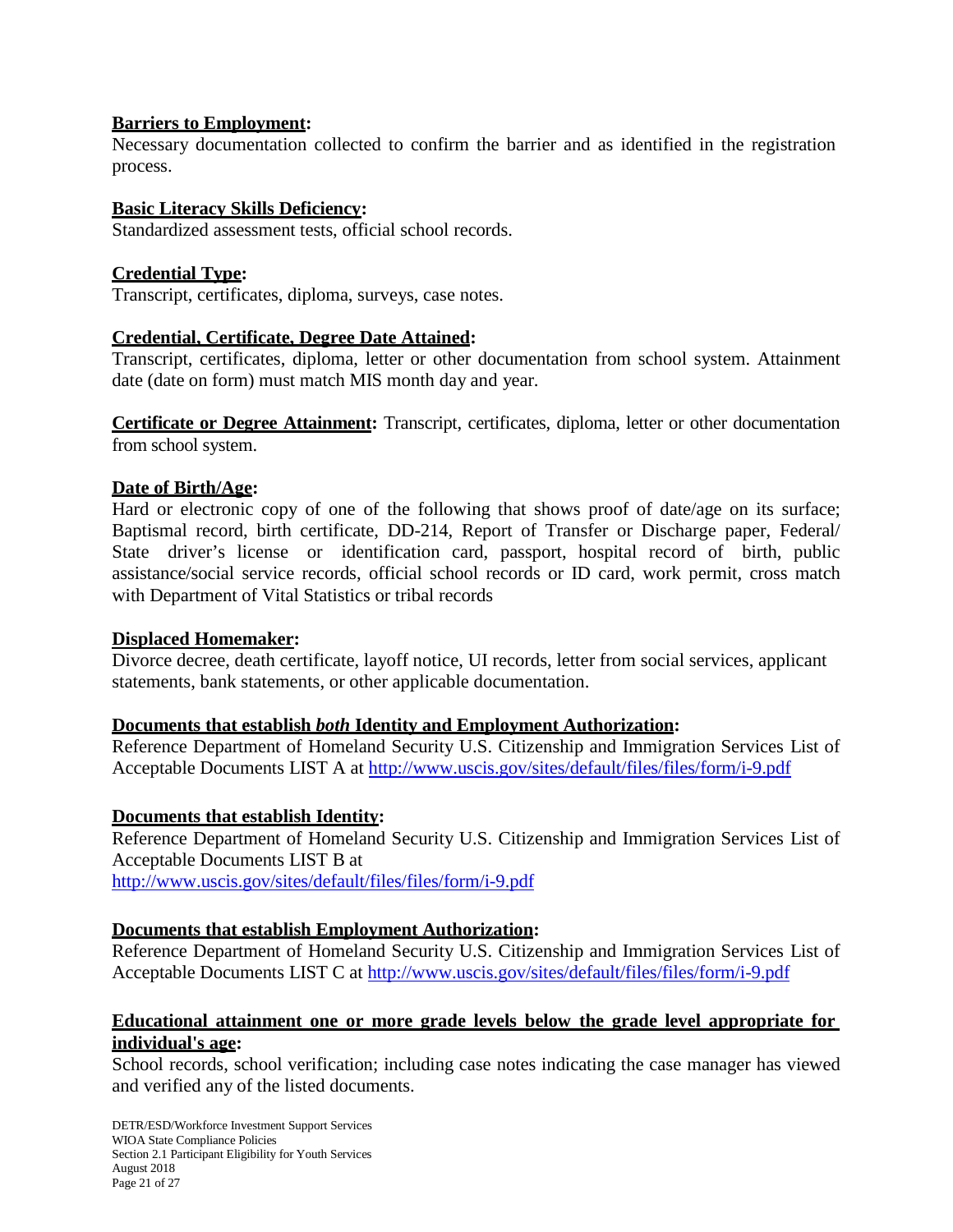## **Barriers to Employment:**

Necessary documentation collected to confirm the barrier and as identified in the registration process.

## **Basic Literacy Skills Deficiency:**

Standardized assessment tests, official school records.

## **Credential Type:**

Transcript, certificates, diploma, surveys, case notes.

## **Credential, Certificate, Degree Date Attained:**

Transcript, certificates, diploma, letter or other documentation from school system. Attainment date (date on form) must match MIS month day and year.

**Certificate or Degree Attainment:** Transcript, certificates, diploma, letter or other documentation from school system.

## **Date of Birth/Age:**

Hard or electronic copy of one of the following that shows proof of date/age on its surface; Baptismal record, birth certificate, DD-214, Report of Transfer or Discharge paper, Federal/ State driver's license or identification card, passport, hospital record of birth, public assistance/social service records, official school records or ID card, work permit, cross match with Department of Vital Statistics or tribal records

#### **Displaced Homemaker:**

Divorce decree, death certificate, layoff notice, UI records, letter from social services, applicant statements, bank statements, or other applicable documentation.

#### **Documents that establish** *both* **Identity and Employment Authorization:**

Reference Department of Homeland Security U.S. Citizenship and Immigration Services List of Acceptable Documents LIST A at <http://www.uscis.gov/sites/default/files/files/form/i-9.pdf>

#### **Documents that establish Identity:**

Reference Department of Homeland Security U.S. Citizenship and Immigration Services List of Acceptable Documents LIST B at <http://www.uscis.gov/sites/default/files/files/form/i-9.pdf>

#### **Documents that establish Employment Authorization:**

Reference Department of Homeland Security U.S. Citizenship and Immigration Services List of Acceptable Documents LIST C at <http://www.uscis.gov/sites/default/files/files/form/i-9.pdf>

## **Educational attainment one or more grade levels below the grade level appropriate for individual's age:**

School records, school verification; including case notes indicating the case manager has viewed and verified any of the listed documents.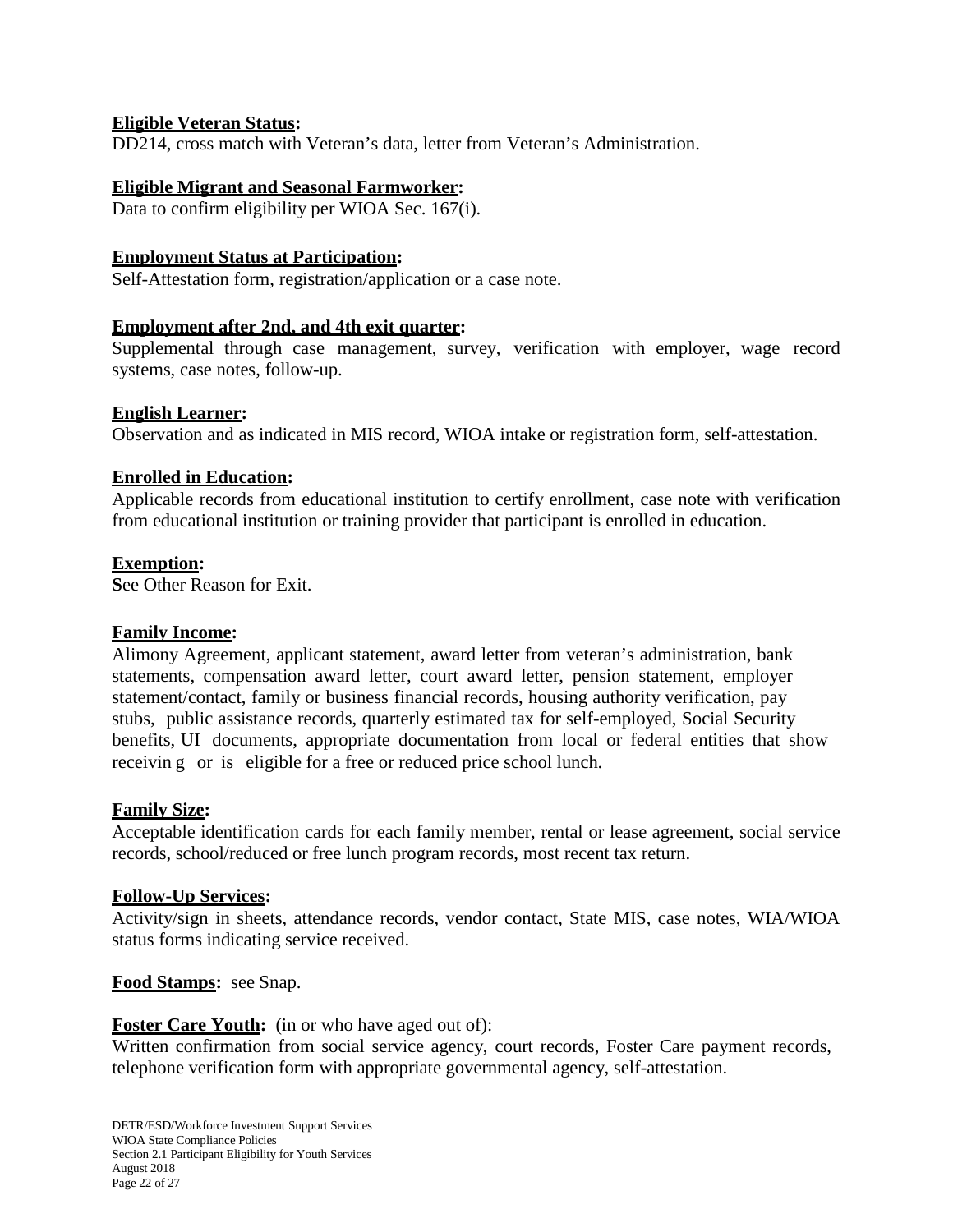## **Eligible Veteran Status:**

DD214, cross match with Veteran's data, letter from Veteran's Administration.

#### **Eligible Migrant and Seasonal Farmworker:**

Data to confirm eligibility per WIOA Sec. 167(i).

#### **Employment Status at Participation:**

Self-Attestation form, registration/application or a case note.

#### **Employment after 2nd, and 4th exit quarter:**

Supplemental through case management, survey, verification with employer, wage record systems, case notes, follow-up.

#### **English Learner:**

Observation and as indicated in MIS record, WIOA intake or registration form, self-attestation.

#### **Enrolled in Education:**

Applicable records from educational institution to certify enrollment, case note with verification from educational institution or training provider that participant is enrolled in education.

#### **Exemption:**

**S**ee Other Reason for Exit.

#### **Family Income:**

Alimony Agreement, applicant statement, award letter from veteran's administration, bank statements, compensation award letter, court award letter, pension statement, employer statement/contact, family or business financial records, housing authority verification, pay stubs, public assistance records, quarterly estimated tax for self-employed, Social Security benefits, UI documents, appropriate documentation from local or federal entities that show receivin g or is eligible for a free or reduced price school lunch.

#### **Family Size:**

Acceptable identification cards for each family member, rental or lease agreement, social service records, school/reduced or free lunch program records, most recent tax return.

#### **Follow-Up Services:**

Activity/sign in sheets, attendance records, vendor contact, State MIS, case notes, WIA/WIOA status forms indicating service received.

#### **Food Stamps:** see Snap.

**Foster Care Youth:** (in or who have aged out of):

Written confirmation from social service agency, court records, Foster Care payment records, telephone verification form with appropriate governmental agency, self-attestation.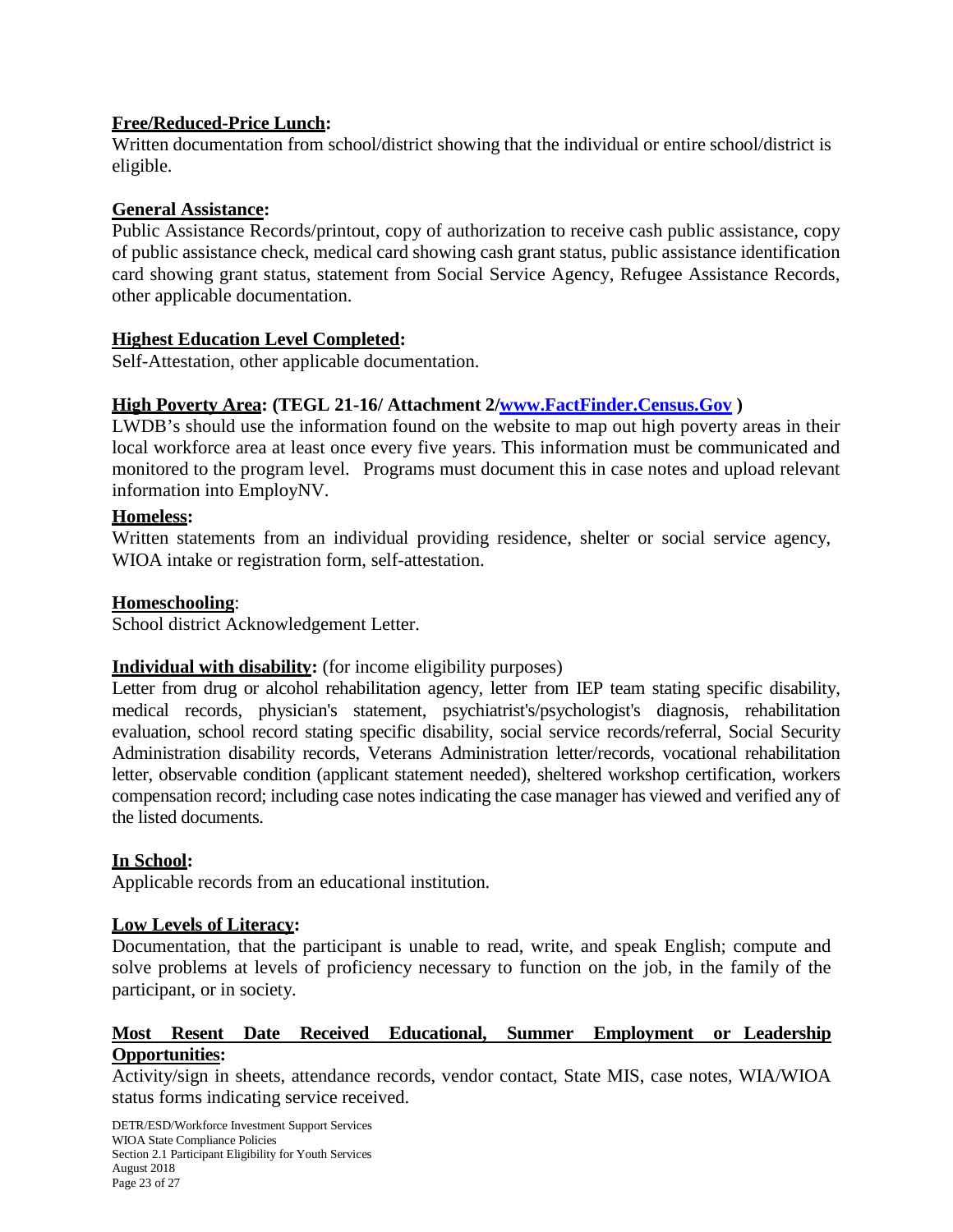## **Free/Reduced-Price Lunch:**

Written documentation from school/district showing that the individual or entire school/district is eligible.

## **General Assistance:**

Public Assistance Records/printout, copy of authorization to receive cash public assistance, copy of public assistance check, medical card showing cash grant status, public assistance identification card showing grant status, statement from Social Service Agency, Refugee Assistance Records, other applicable documentation.

## **Highest Education Level Completed:**

Self-Attestation, other applicable documentation.

## **High Poverty Area: (TEGL 21-16/ Attachment 2[/www.FactFinder.Census.Gov](http://www.factfinder.census.gov/) )**

LWDB's should use the information found on the website to map out high poverty areas in their local workforce area at least once every five years. This information must be communicated and monitored to the program level. Programs must document this in case notes and upload relevant information into EmployNV.

## **Homeless:**

Written statements from an individual providing residence, shelter or social service agency, WIOA intake or registration form, self-attestation.

## **Homeschooling**:

School district Acknowledgement Letter.

## **Individual with disability:** (for income eligibility purposes)

Letter from drug or alcohol rehabilitation agency, letter from IEP team stating specific disability, medical records, physician's statement, psychiatrist's/psychologist's diagnosis, rehabilitation evaluation, school record stating specific disability, social service records/referral, Social Security Administration disability records, Veterans Administration letter/records, vocational rehabilitation letter, observable condition (applicant statement needed), sheltered workshop certification, workers compensation record; including case notes indicating the case manager has viewed and verified any of the listed documents.

#### **In School:**

Applicable records from an educational institution.

## **Low Levels of Literacy:**

Documentation, that the participant is unable to read, write, and speak English; compute and solve problems at levels of proficiency necessary to function on the job, in the family of the participant, or in society.

## **Most Resent Date Received Educational, Summer Employment or Leadership Opportunities:**

Activity/sign in sheets, attendance records, vendor contact, State MIS, case notes, WIA/WIOA status forms indicating service received.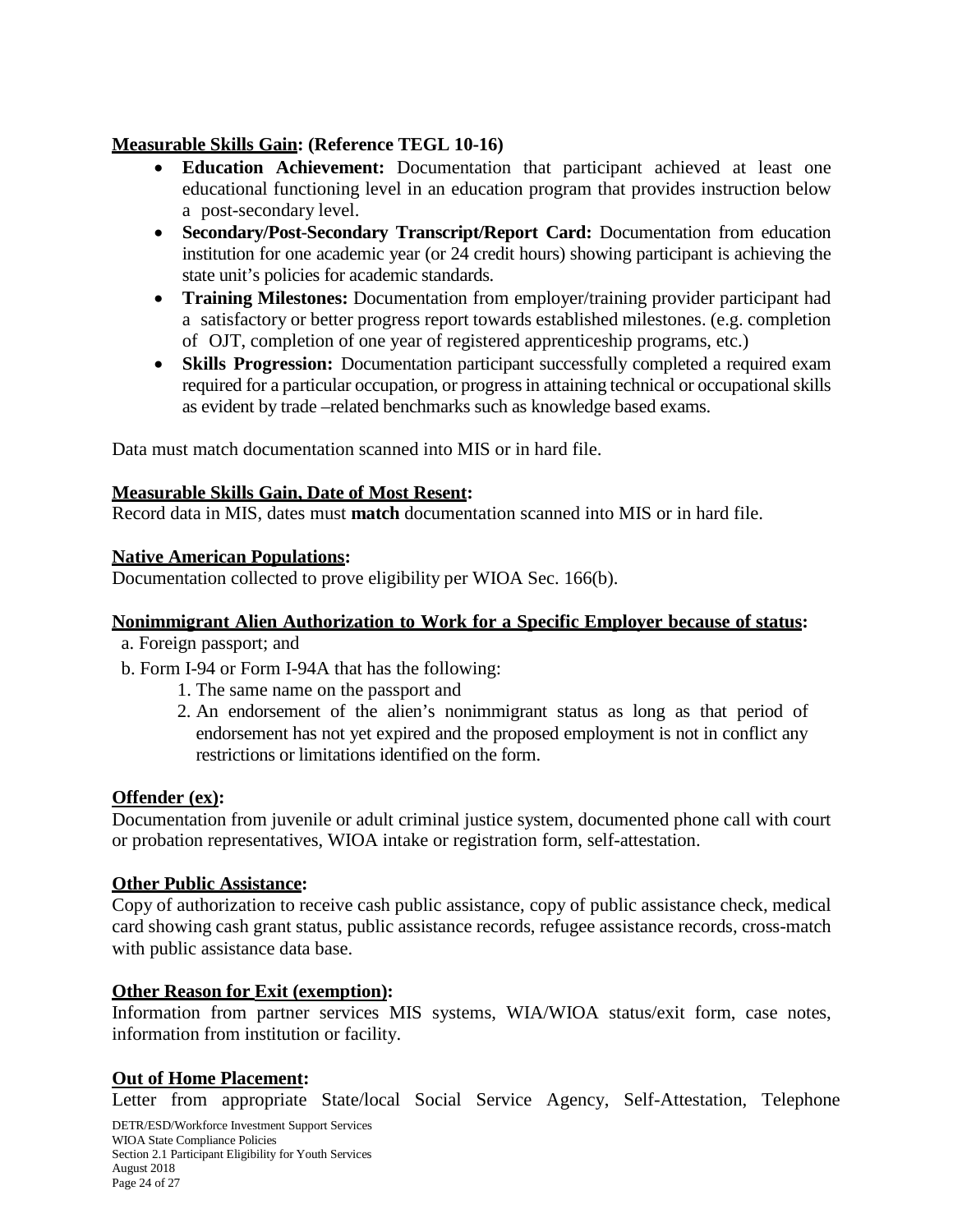## **Measurable Skills Gain: (Reference TEGL 10-16)**

- **Education Achievement:** Documentation that participant achieved at least one educational functioning level in an education program that provides instruction below a post-secondary level.
- **Secondary/Post**-**Secondary Transcript/Report Card:** Documentation from education institution for one academic year (or 24 credit hours) showing participant is achieving the state unit's policies for academic standards.
- **Training Milestones:** Documentation from employer/training provider participant had a satisfactory or better progress report towards established milestones. (e.g. completion of OJT, completion of one year of registered apprenticeship programs, etc.)
- **Skills Progression:** Documentation participant successfully completed a required exam required for a particular occupation, or progress in attaining technical or occupational skills as evident by trade –related benchmarks such as knowledge based exams.

Data must match documentation scanned into MIS or in hard file.

## **Measurable Skills Gain, Date of Most Resent:**

Record data in MIS, dates must **match** documentation scanned into MIS or in hard file.

## **Native American Populations:**

Documentation collected to prove eligibility per WIOA Sec. 166(b).

#### **Nonimmigrant Alien Authorization to Work for a Specific Employer because of status:**

- a. Foreign passport; and
- b. Form I-94 or Form I-94A that has the following:
	- 1. The same name on the passport and
	- 2. An endorsement of the alien's nonimmigrant status as long as that period of endorsement has not yet expired and the proposed employment is not in conflict any restrictions or limitations identified on the form.

#### **Offender (ex):**

Documentation from juvenile or adult criminal justice system, documented phone call with court or probation representatives, WIOA intake or registration form, self-attestation.

#### **Other Public Assistance:**

Copy of authorization to receive cash public assistance, copy of public assistance check, medical card showing cash grant status, public assistance records, refugee assistance records, cross-match with public assistance data base.

#### **Other Reason for Exit (exemption):**

Information from partner services MIS systems, WIA/WIOA status/exit form, case notes, information from institution or facility.

#### **Out of Home Placement:**

Letter from appropriate State/local Social Service Agency, Self-Attestation, Telephone

DETR/ESD/Workforce Investment Support Services WIOA State Compliance Policies Section 2.1 Participant Eligibility for Youth Services August 2018 Page 24 of 27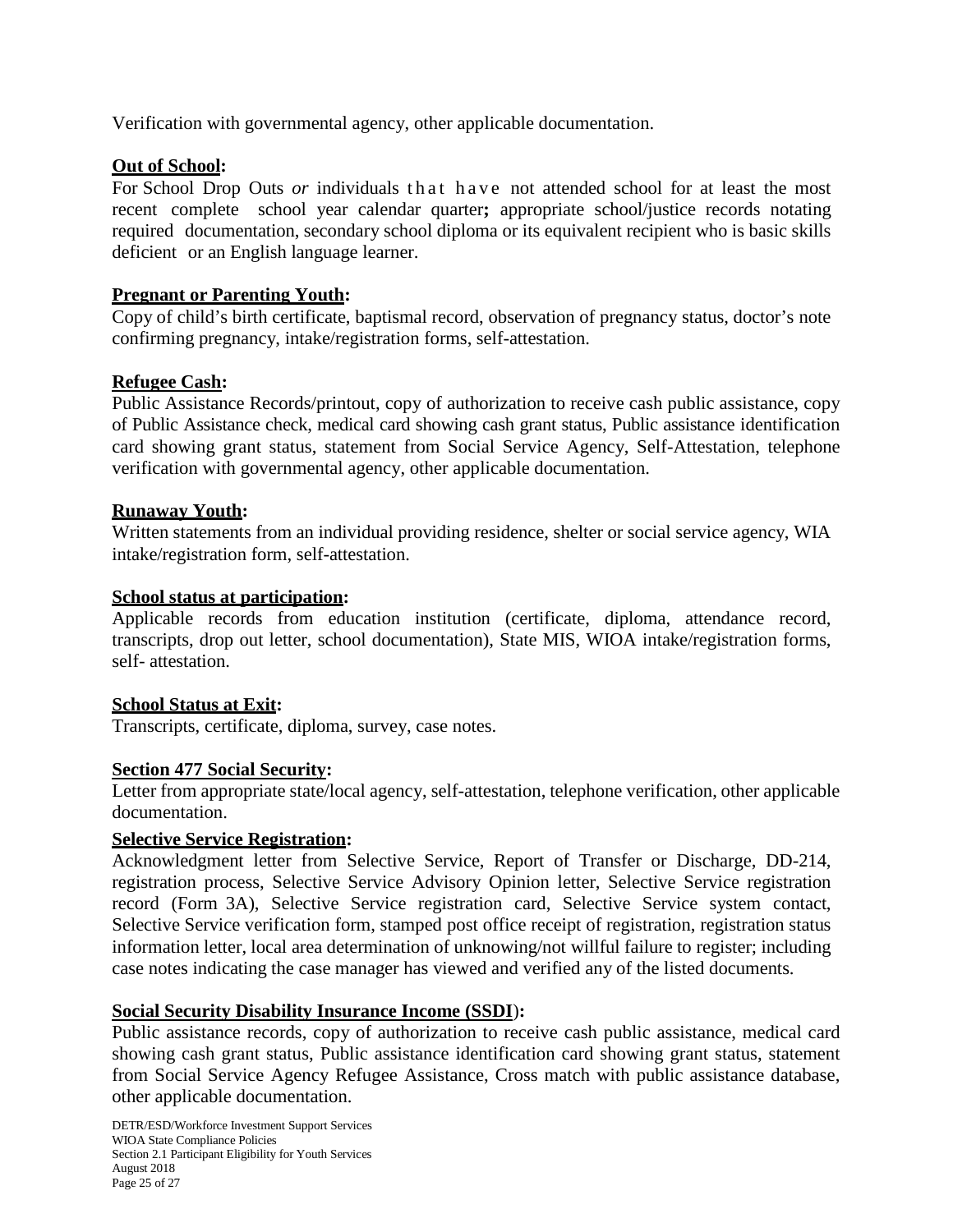Verification with governmental agency, other applicable documentation.

## **Out of School:**

For School Drop Outs *or* individuals that have not attended school for at least the most recent complete school year calendar quarter**;** appropriate school/justice records notating required documentation, secondary school diploma or its equivalent recipient who is basic skills deficient or an English language learner.

## **Pregnant or Parenting Youth:**

Copy of child's birth certificate, baptismal record, observation of pregnancy status, doctor's note confirming pregnancy, intake/registration forms, self-attestation.

## **Refugee Cash:**

Public Assistance Records/printout, copy of authorization to receive cash public assistance, copy of Public Assistance check, medical card showing cash grant status, Public assistance identification card showing grant status, statement from Social Service Agency, Self-Attestation, telephone verification with governmental agency, other applicable documentation.

#### **Runaway Youth:**

Written statements from an individual providing residence, shelter or social service agency, WIA intake/registration form, self-attestation.

#### **School status at participation:**

Applicable records from education institution (certificate, diploma, attendance record, transcripts, drop out letter, school documentation), State MIS, WIOA intake/registration forms, self- attestation.

#### **School Status at Exit:**

Transcripts, certificate, diploma, survey, case notes.

#### **Section 477 Social Security:**

Letter from appropriate state/local agency, self-attestation, telephone verification, other applicable documentation.

#### **Selective Service Registration:**

Acknowledgment letter from Selective Service, Report of Transfer or Discharge, DD-214, registration process, Selective Service Advisory Opinion letter, Selective Service registration record (Form 3A), Selective Service registration card, Selective Service system contact, Selective Service verification form, stamped post office receipt of registration, registration status information letter, local area determination of unknowing/not willful failure to register; including case notes indicating the case manager has viewed and verified any of the listed documents.

#### **Social Security Disability Insurance Income (SSDI**)**:**

Public assistance records, copy of authorization to receive cash public assistance, medical card showing cash grant status, Public assistance identification card showing grant status, statement from Social Service Agency Refugee Assistance, Cross match with public assistance database, other applicable documentation.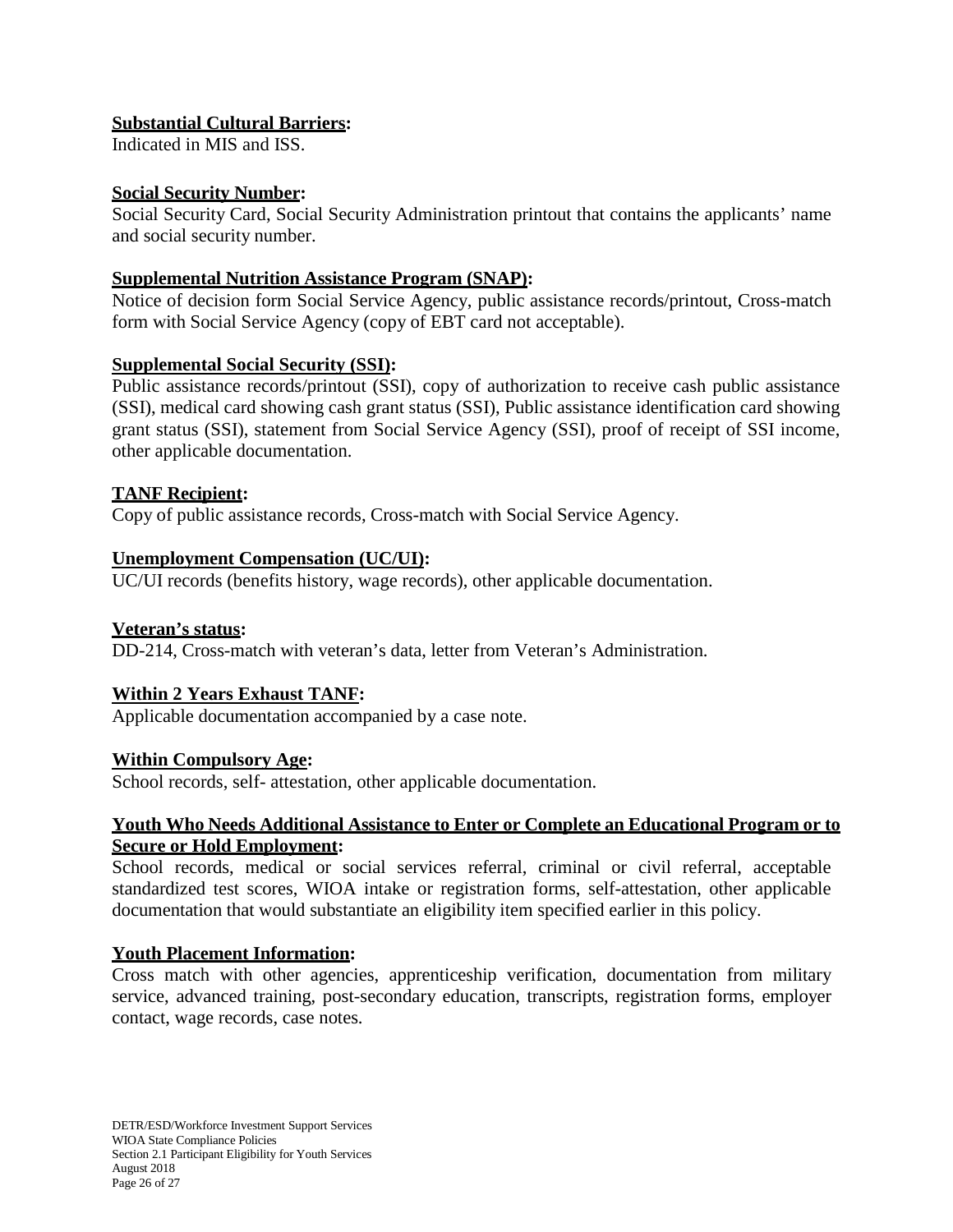## **Substantial Cultural Barriers:**

Indicated in MIS and ISS.

## **Social Security Number:**

Social Security Card, Social Security Administration printout that contains the applicants' name and social security number.

## **Supplemental Nutrition Assistance Program (SNAP):**

Notice of decision form Social Service Agency, public assistance records/printout, Cross-match form with Social Service Agency (copy of EBT card not acceptable).

## **Supplemental Social Security (SSI):**

Public assistance records/printout (SSI), copy of authorization to receive cash public assistance (SSI), medical card showing cash grant status (SSI), Public assistance identification card showing grant status (SSI), statement from Social Service Agency (SSI), proof of receipt of SSI income, other applicable documentation.

## **TANF Recipient:**

Copy of public assistance records, Cross-match with Social Service Agency.

## **Unemployment Compensation (UC/UI):**

UC/UI records (benefits history, wage records), other applicable documentation.

#### **Veteran's status:**

DD-214, Cross-match with veteran's data, letter from Veteran's Administration.

## **Within 2 Years Exhaust TANF:**

Applicable documentation accompanied by a case note.

#### **Within Compulsory Age:**

School records, self- attestation, other applicable documentation.

## **Youth Who Needs Additional Assistance to Enter or Complete an Educational Program or to Secure or Hold Employment:**

School records, medical or social services referral, criminal or civil referral, acceptable standardized test scores, WIOA intake or registration forms, self-attestation, other applicable documentation that would substantiate an eligibility item specified earlier in this policy.

## **Youth Placement Information:**

Cross match with other agencies, apprenticeship verification, documentation from military service, advanced training, post-secondary education, transcripts, registration forms, employer contact, wage records, case notes.